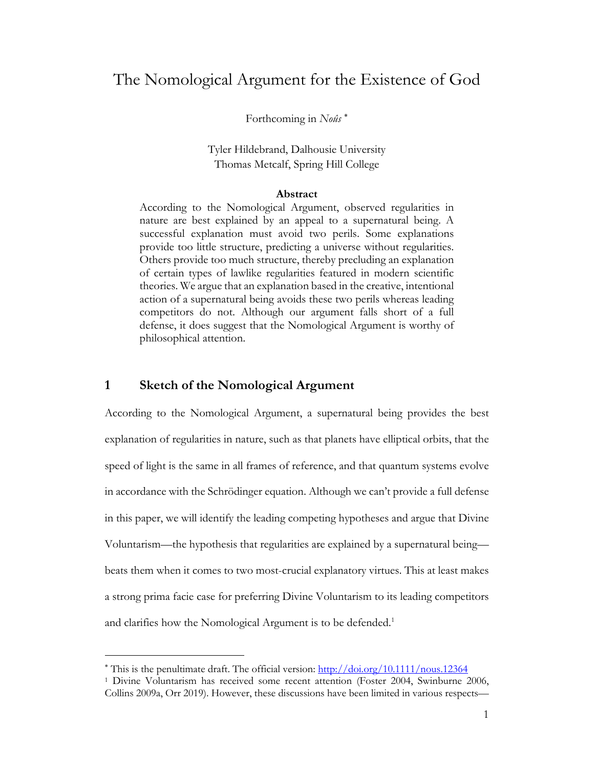# The Nomological Argument for the Existence of God

Forthcoming in *Noûs* \*

Tyler Hildebrand, Dalhousie University Thomas Metcalf, Spring Hill College

#### **Abstract**

According to the Nomological Argument, observed regularities in nature are best explained by an appeal to a supernatural being. A successful explanation must avoid two perils. Some explanations provide too little structure, predicting a universe without regularities. Others provide too much structure, thereby precluding an explanation of certain types of lawlike regularities featured in modern scientific theories. We argue that an explanation based in the creative, intentional action of a supernatural being avoids these two perils whereas leading competitors do not. Although our argument falls short of a full defense, it does suggest that the Nomological Argument is worthy of philosophical attention.

# **1 Sketch of the Nomological Argument**

According to the Nomological Argument, a supernatural being provides the best explanation of regularities in nature, such as that planets have elliptical orbits, that the speed of light is the same in all frames of reference, and that quantum systems evolve in accordance with the Schrödinger equation. Although we can't provide a full defense in this paper, we will identify the leading competing hypotheses and argue that Divine Voluntarism—the hypothesis that regularities are explained by a supernatural being beats them when it comes to two most-crucial explanatory virtues. This at least makes a strong prima facie case for preferring Divine Voluntarism to its leading competitors and clarifies how the Nomological Argument is to be defended.<sup>1</sup>

<sup>\*</sup> This is the penultimate draft. The official version: http://doi.org/10.1111/nous.12364

<sup>1</sup> Divine Voluntarism has received some recent attention (Foster 2004, Swinburne 2006, Collins 2009a, Orr 2019). However, these discussions have been limited in various respects—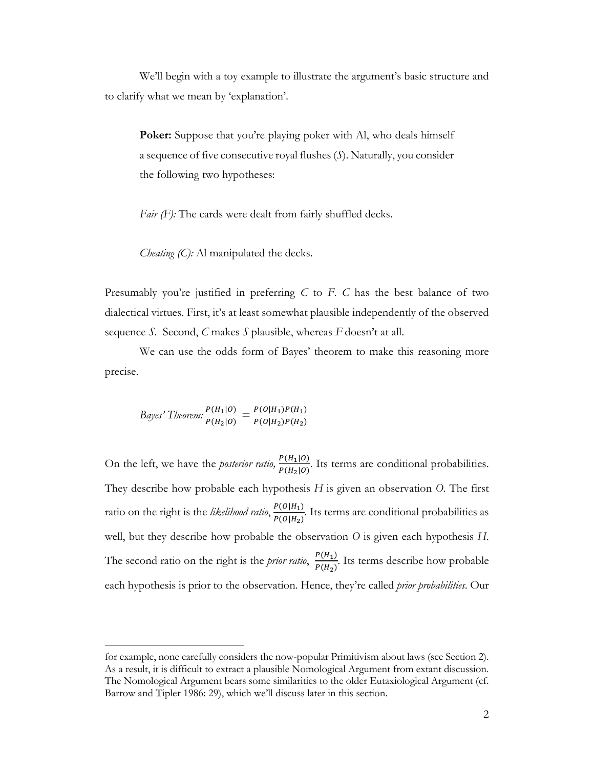We'll begin with a toy example to illustrate the argument's basic structure and to clarify what we mean by 'explanation'.

**Poker:** Suppose that you're playing poker with Al, who deals himself a sequence of five consecutive royal flushes (*S*). Naturally, you consider the following two hypotheses:

*Fair (F)*: The cards were dealt from fairly shuffled decks.

*Cheating (C)*: Al manipulated the decks.

Presumably you're justified in preferring *C* to *F*. *C* has the best balance of two dialectical virtues. First, it's at least somewhat plausible independently of the observed sequence *S*. Second, *C* makes *S* plausible, whereas *F* doesn't at all.

We can use the odds form of Bayes' theorem to make this reasoning more precise.

$$
Bayes' Theorem: \frac{P(H_1|O)}{P(H_2|O)} = \frac{P(O|H_1)P(H_1)}{P(O|H_2)P(H_2)}
$$

On the left, we have the *posterior ratio*,  $\frac{P(H_1|0)}{P(H_2|0)}$ . Its terms are conditional probabilities. They describe how probable each hypothesis *H* is given an observation *O*. The first ratio on the right is the *likelihood ratio*,  $\frac{P(O|H_1)}{P(O|H_1)}$  $\frac{F(O|H_1)}{F(O|H_2)}$ . Its terms are conditional probabilities as well, but they describe how probable the observation *O* is given each hypothesis *H*. The second ratio on the right is the *prior ratio*,  $\frac{P(H_1)}{P(H_2)}$ . Its terms describe how probable each hypothesis is prior to the observation. Hence, they're called *prior probabilities*. Our

for example, none carefully considers the now-popular Primitivism about laws (see Section 2). As a result, it is difficult to extract a plausible Nomological Argument from extant discussion. The Nomological Argument bears some similarities to the older Eutaxiological Argument (cf. Barrow and Tipler 1986: 29), which we'll discuss later in this section.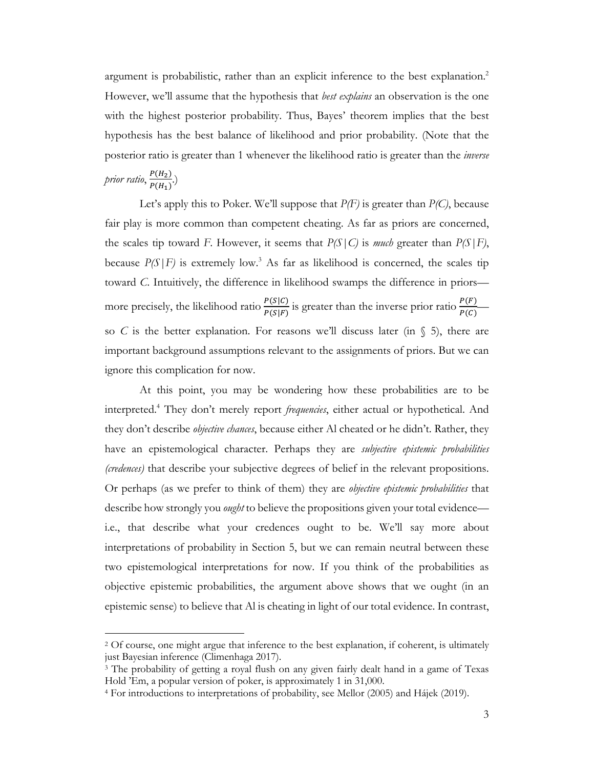argument is probabilistic, rather than an explicit inference to the best explanation.<sup>2</sup> However, we'll assume that the hypothesis that *best explains* an observation is the one with the highest posterior probability. Thus, Bayes' theorem implies that the best hypothesis has the best balance of likelihood and prior probability. (Note that the posterior ratio is greater than 1 whenever the likelihood ratio is greater than the *inverse*  prior ratio, <del>P(H<sub>2</sub>)</del>  $\frac{P(H_2)}{P(H_1)}$ .)

Let's apply this to Poker. We'll suppose that *P(F)* is greater than *P(C)*, because fair play is more common than competent cheating. As far as priors are concerned, the scales tip toward *F*. However, it seems that  $P(S|C)$  is *much* greater than  $P(S|F)$ , because  $P(S|F)$  is extremely low.<sup>3</sup> As far as likelihood is concerned, the scales tip toward *C*. Intuitively, the difference in likelihood swamps the difference in priors more precisely, the likelihood ratio  $\frac{P(S|C)}{P(S|F)}$  is greater than the inverse prior ratio  $\frac{P(F)}{P(C)}$ so *C* is the better explanation. For reasons we'll discuss later (in  $\S$  5), there are important background assumptions relevant to the assignments of priors. But we can ignore this complication for now.

At this point, you may be wondering how these probabilities are to be interpreted.4 They don't merely report *frequencies*, either actual or hypothetical. And they don't describe *objective chances*, because either Al cheated or he didn't. Rather, they have an epistemological character. Perhaps they are *subjective epistemic probabilities (credences)* that describe your subjective degrees of belief in the relevant propositions. Or perhaps (as we prefer to think of them) they are *objective epistemic probabilities* that describe how strongly you *ought* to believe the propositions given your total evidence i.e., that describe what your credences ought to be. We'll say more about interpretations of probability in Section 5, but we can remain neutral between these two epistemological interpretations for now. If you think of the probabilities as objective epistemic probabilities, the argument above shows that we ought (in an epistemic sense) to believe that Al is cheating in light of our total evidence. In contrast,

<sup>2</sup> Of course, one might argue that inference to the best explanation, if coherent, is ultimately just Bayesian inference (Climenhaga 2017).

<sup>3</sup> The probability of getting a royal flush on any given fairly dealt hand in a game of Texas Hold 'Em, a popular version of poker, is approximately 1 in 31,000.

<sup>4</sup> For introductions to interpretations of probability, see Mellor (2005) and Hájek (2019).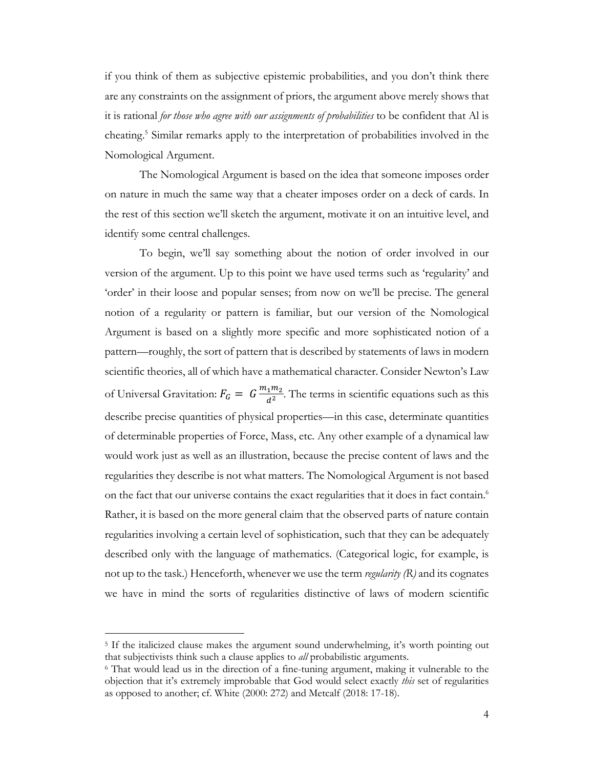if you think of them as subjective epistemic probabilities, and you don't think there are any constraints on the assignment of priors, the argument above merely shows that it is rational *for those who agree with our assignments of probabilities* to be confident that Al is cheating.5 Similar remarks apply to the interpretation of probabilities involved in the Nomological Argument.

The Nomological Argument is based on the idea that someone imposes order on nature in much the same way that a cheater imposes order on a deck of cards. In the rest of this section we'll sketch the argument, motivate it on an intuitive level, and identify some central challenges.

To begin, we'll say something about the notion of order involved in our version of the argument. Up to this point we have used terms such as 'regularity' and 'order' in their loose and popular senses; from now on we'll be precise. The general notion of a regularity or pattern is familiar, but our version of the Nomological Argument is based on a slightly more specific and more sophisticated notion of a pattern—roughly, the sort of pattern that is described by statements of laws in modern scientific theories, all of which have a mathematical character. Consider Newton's Law of Universal Gravitation:  $F_G = G \frac{m_1 m_2}{d^2}$ . The terms in scientific equations such as this describe precise quantities of physical properties—in this case, determinate quantities of determinable properties of Force, Mass, etc. Any other example of a dynamical law would work just as well as an illustration, because the precise content of laws and the regularities they describe is not what matters. The Nomological Argument is not based on the fact that our universe contains the exact regularities that it does in fact contain.<sup>6</sup> Rather, it is based on the more general claim that the observed parts of nature contain regularities involving a certain level of sophistication, such that they can be adequately described only with the language of mathematics. (Categorical logic, for example, is not up to the task.) Henceforth, whenever we use the term *regularity (R)* and its cognates we have in mind the sorts of regularities distinctive of laws of modern scientific

<sup>5</sup> If the italicized clause makes the argument sound underwhelming, it's worth pointing out that subjectivists think such a clause applies to *all* probabilistic arguments.

<sup>6</sup> That would lead us in the direction of a fine-tuning argument, making it vulnerable to the objection that it's extremely improbable that God would select exactly *this* set of regularities as opposed to another; cf. White (2000: 272) and Metcalf (2018: 17-18).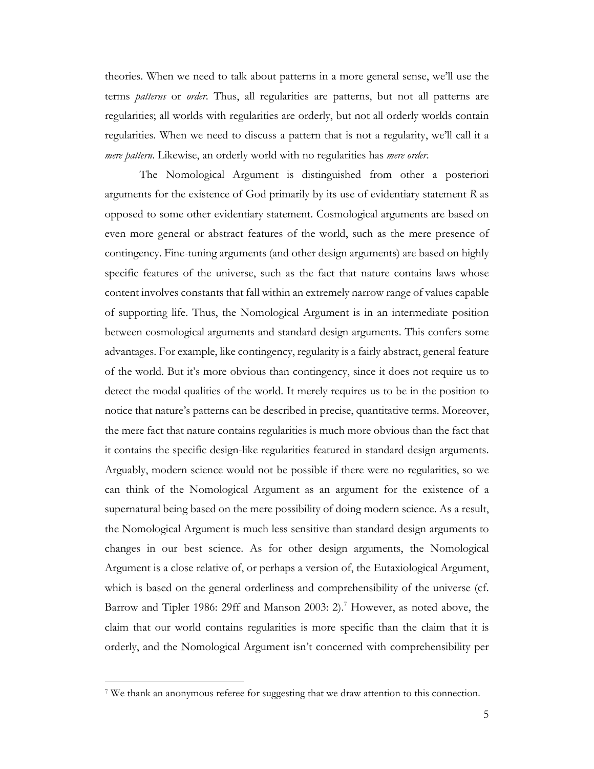theories. When we need to talk about patterns in a more general sense, we'll use the terms *patterns* or *order*. Thus, all regularities are patterns, but not all patterns are regularities; all worlds with regularities are orderly, but not all orderly worlds contain regularities. When we need to discuss a pattern that is not a regularity, we'll call it a *mere pattern*. Likewise, an orderly world with no regularities has *mere order*.

The Nomological Argument is distinguished from other a posteriori arguments for the existence of God primarily by its use of evidentiary statement *R* as opposed to some other evidentiary statement. Cosmological arguments are based on even more general or abstract features of the world, such as the mere presence of contingency. Fine-tuning arguments (and other design arguments) are based on highly specific features of the universe, such as the fact that nature contains laws whose content involves constants that fall within an extremely narrow range of values capable of supporting life. Thus, the Nomological Argument is in an intermediate position between cosmological arguments and standard design arguments. This confers some advantages. For example, like contingency, regularity is a fairly abstract, general feature of the world. But it's more obvious than contingency, since it does not require us to detect the modal qualities of the world. It merely requires us to be in the position to notice that nature's patterns can be described in precise, quantitative terms. Moreover, the mere fact that nature contains regularities is much more obvious than the fact that it contains the specific design-like regularities featured in standard design arguments. Arguably, modern science would not be possible if there were no regularities, so we can think of the Nomological Argument as an argument for the existence of a supernatural being based on the mere possibility of doing modern science. As a result, the Nomological Argument is much less sensitive than standard design arguments to changes in our best science. As for other design arguments, the Nomological Argument is a close relative of, or perhaps a version of, the Eutaxiological Argument, which is based on the general orderliness and comprehensibility of the universe (cf. Barrow and Tipler 1986: 29ff and Manson 2003: 2).<sup>7</sup> However, as noted above, the claim that our world contains regularities is more specific than the claim that it is orderly, and the Nomological Argument isn't concerned with comprehensibility per

<sup>7</sup> We thank an anonymous referee for suggesting that we draw attention to this connection.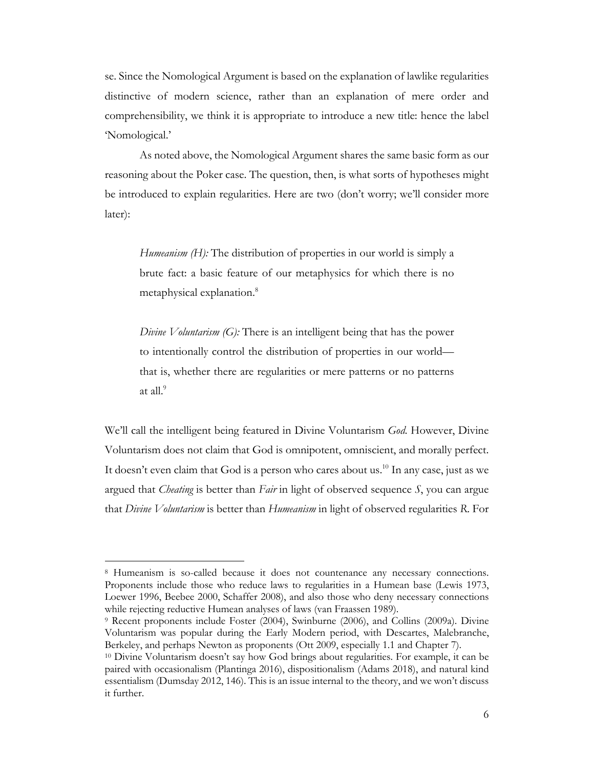se. Since the Nomological Argument is based on the explanation of lawlike regularities distinctive of modern science, rather than an explanation of mere order and comprehensibility, we think it is appropriate to introduce a new title: hence the label 'Nomological.'

As noted above, the Nomological Argument shares the same basic form as our reasoning about the Poker case. The question, then, is what sorts of hypotheses might be introduced to explain regularities. Here are two (don't worry; we'll consider more later):

*Humeanism (H):* The distribution of properties in our world is simply a brute fact: a basic feature of our metaphysics for which there is no metaphysical explanation.8

*Divine Voluntarism (G):* There is an intelligent being that has the power to intentionally control the distribution of properties in our world that is, whether there are regularities or mere patterns or no patterns at all.<sup>9</sup>

We'll call the intelligent being featured in Divine Voluntarism *God*. However, Divine Voluntarism does not claim that God is omnipotent, omniscient, and morally perfect. It doesn't even claim that God is a person who cares about us.<sup>10</sup> In any case, just as we argued that *Cheating* is better than *Fair* in light of observed sequence *S*, you can argue that *Divine Voluntarism* is better than *Humeanism* in light of observed regularities *R*. For

<sup>8</sup> Humeanism is so-called because it does not countenance any necessary connections. Proponents include those who reduce laws to regularities in a Humean base (Lewis 1973, Loewer 1996, Beebee 2000, Schaffer 2008), and also those who deny necessary connections while rejecting reductive Humean analyses of laws (van Fraassen 1989).

<sup>9</sup> Recent proponents include Foster (2004), Swinburne (2006), and Collins (2009a). Divine Voluntarism was popular during the Early Modern period, with Descartes, Malebranche, Berkeley, and perhaps Newton as proponents (Ott 2009, especially 1.1 and Chapter 7).

<sup>10</sup> Divine Voluntarism doesn't say how God brings about regularities. For example, it can be paired with occasionalism (Plantinga 2016), dispositionalism (Adams 2018), and natural kind essentialism (Dumsday 2012, 146). This is an issue internal to the theory, and we won't discuss it further.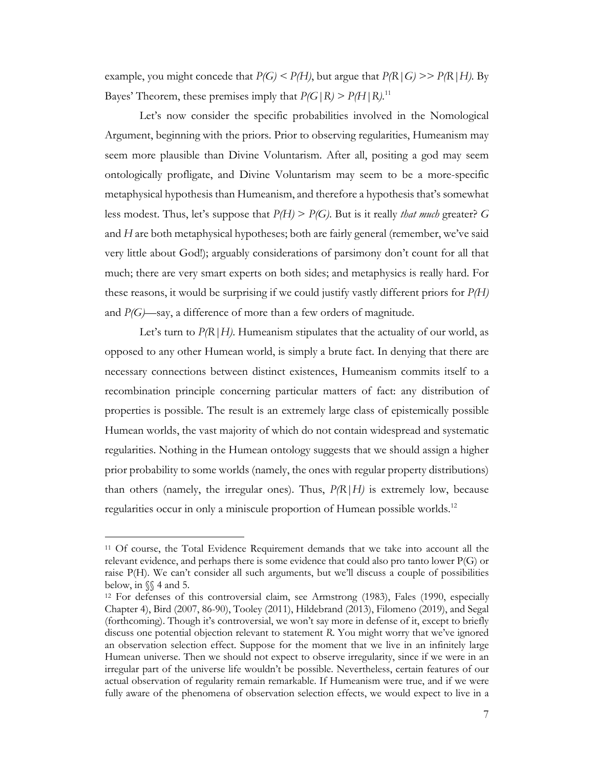example, you might concede that  $P(G) \leq P(H)$ , but argue that  $P(R|G) \geq P(R|H)$ . By Bayes' Theorem, these premises imply that  $P(G \mid R) > P(H \mid R)$ .<sup>11</sup>

Let's now consider the specific probabilities involved in the Nomological Argument, beginning with the priors. Prior to observing regularities, Humeanism may seem more plausible than Divine Voluntarism. After all, positing a god may seem ontologically profligate, and Divine Voluntarism may seem to be a more-specific metaphysical hypothesis than Humeanism, and therefore a hypothesis that's somewhat less modest. Thus, let's suppose that *P(H)* > *P(G)*. But is it really *that much* greater? *G* and *H* are both metaphysical hypotheses; both are fairly general (remember, we've said very little about God!); arguably considerations of parsimony don't count for all that much; there are very smart experts on both sides; and metaphysics is really hard. For these reasons, it would be surprising if we could justify vastly different priors for *P(H)* and *P(G)*—say, a difference of more than a few orders of magnitude.

Let's turn to  $P(R|H)$ . Humeanism stipulates that the actuality of our world, as opposed to any other Humean world, is simply a brute fact. In denying that there are necessary connections between distinct existences, Humeanism commits itself to a recombination principle concerning particular matters of fact: any distribution of properties is possible. The result is an extremely large class of epistemically possible Humean worlds, the vast majority of which do not contain widespread and systematic regularities. Nothing in the Humean ontology suggests that we should assign a higher prior probability to some worlds (namely, the ones with regular property distributions) than others (namely, the irregular ones). Thus, *P(R|H)* is extremely low, because regularities occur in only a miniscule proportion of Humean possible worlds.<sup>12</sup>

<sup>11</sup> Of course, the Total Evidence Requirement demands that we take into account all the relevant evidence, and perhaps there is some evidence that could also pro tanto lower P(G) or raise P(H). We can't consider all such arguments, but we'll discuss a couple of possibilities below, in §§ 4 and 5.

<sup>12</sup> For defenses of this controversial claim, see Armstrong (1983), Fales (1990, especially Chapter 4), Bird (2007, 86-90), Tooley (2011), Hildebrand (2013), Filomeno (2019), and Segal (forthcoming). Though it's controversial, we won't say more in defense of it, except to briefly discuss one potential objection relevant to statement *R*. You might worry that we've ignored an observation selection effect. Suppose for the moment that we live in an infinitely large Humean universe. Then we should not expect to observe irregularity, since if we were in an irregular part of the universe life wouldn't be possible. Nevertheless, certain features of our actual observation of regularity remain remarkable. If Humeanism were true, and if we were fully aware of the phenomena of observation selection effects, we would expect to live in a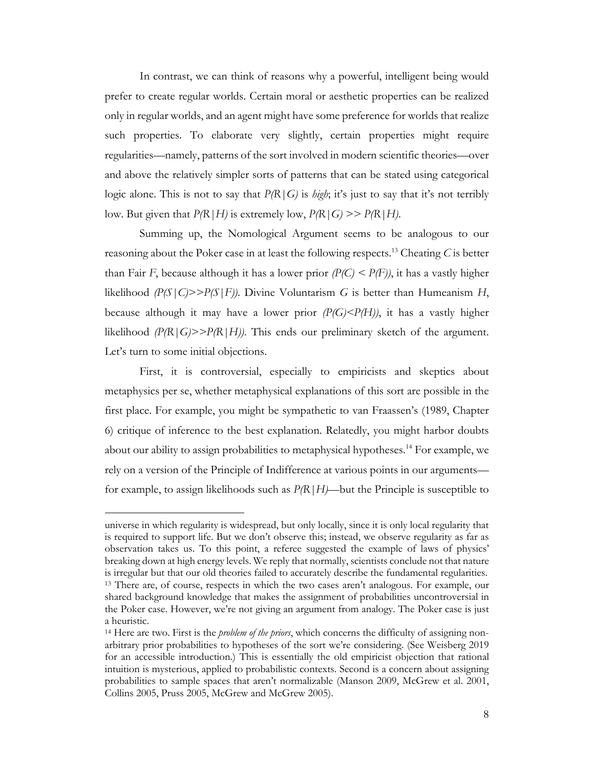In contrast, we can think of reasons why a powerful, intelligent being would prefer to create regular worlds. Certain moral or aesthetic properties can be realized only in regular worlds, and an agent might have some preference for worlds that realize such properties. To elaborate very slightly, certain properties might require regularities—namely, patterns of the sort involved in modern scientific theories—over and above the relatively simpler sorts of patterns that can be stated using categorical logic alone. This is not to say that *P(R|G)* is *high*; it's just to say that it's not terribly low. But given that  $P(R|H)$  is extremely low,  $P(R|G) \gg P(R|H)$ .

Summing up, the Nomological Argument seems to be analogous to our reasoning about the Poker case in at least the following respects.13 Cheating *C* is better than Fair *F*, because although it has a lower prior  $(P(C) < P(F))$ , it has a vastly higher likelihood  $\mathcal{P}(S|C)$ > $\mathcal{P}(S|F)$ ). Divine Voluntarism *G* is better than Humeanism *H*, because although it may have a lower prior *(P(G)<P(H))*, it has a vastly higher likelihood  $\langle P/R | G \rangle > P/R | H \rangle$ . This ends our preliminary sketch of the argument. Let's turn to some initial objections.

First, it is controversial, especially to empiricists and skeptics about metaphysics per se, whether metaphysical explanations of this sort are possible in the first place. For example, you might be sympathetic to van Fraassen's (1989, Chapter 6) critique of inference to the best explanation. Relatedly, you might harbor doubts about our ability to assign probabilities to metaphysical hypotheses.<sup>14</sup> For example, we rely on a version of the Principle of Indifference at various points in our arguments for example, to assign likelihoods such as *P(R|H)—*but the Principle is susceptible to

universe in which regularity is widespread, but only locally, since it is only local regularity that is required to support life. But we don't observe this; instead, we observe regularity as far as observation takes us. To this point, a referee suggested the example of laws of physics' breaking down at high energy levels. We reply that normally, scientists conclude not that nature is irregular but that our old theories failed to accurately describe the fundamental regularities. <sup>13</sup> There are, of course, respects in which the two cases aren't analogous. For example, our shared background knowledge that makes the assignment of probabilities uncontroversial in the Poker case. However, we're not giving an argument from analogy. The Poker case is just a heuristic.

<sup>14</sup> Here are two. First is the *problem of the priors*, which concerns the difficulty of assigning nonarbitrary prior probabilities to hypotheses of the sort we're considering. (See Weisberg 2019 for an accessible introduction.) This is essentially the old empiricist objection that rational intuition is mysterious, applied to probabilistic contexts. Second is a concern about assigning probabilities to sample spaces that aren't normalizable (Manson 2009, McGrew et al. 2001, Collins 2005, Pruss 2005, McGrew and McGrew 2005).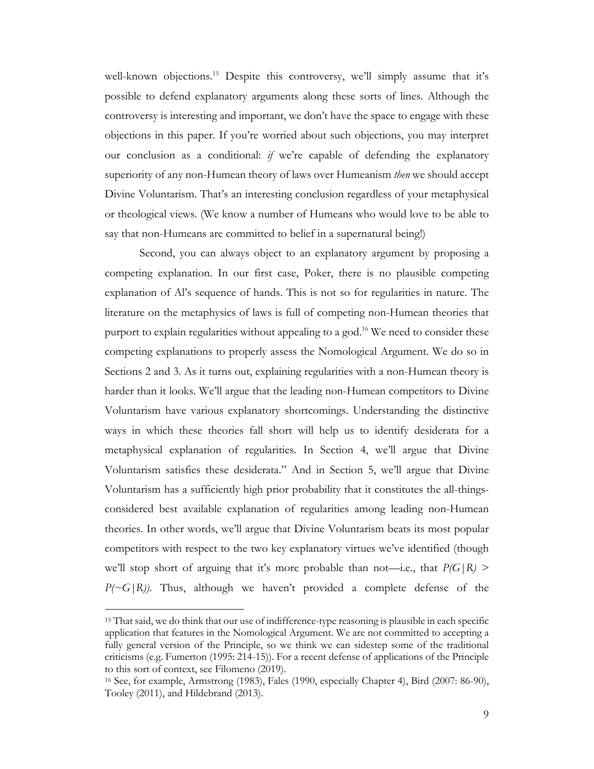well-known objections.<sup>15</sup> Despite this controversy, we'll simply assume that it's possible to defend explanatory arguments along these sorts of lines. Although the controversy is interesting and important, we don't have the space to engage with these objections in this paper. If you're worried about such objections, you may interpret our conclusion as a conditional: *if* we're capable of defending the explanatory superiority of any non-Humean theory of laws over Humeanism *then* we should accept Divine Voluntarism. That's an interesting conclusion regardless of your metaphysical or theological views. (We know a number of Humeans who would love to be able to say that non-Humeans are committed to belief in a supernatural being!)

Second, you can always object to an explanatory argument by proposing a competing explanation. In our first case, Poker, there is no plausible competing explanation of Al's sequence of hands. This is not so for regularities in nature. The literature on the metaphysics of laws is full of competing non-Humean theories that purport to explain regularities without appealing to a god.<sup>16</sup> We need to consider these competing explanations to properly assess the Nomological Argument. We do so in Sections 2 and 3. As it turns out, explaining regularities with a non-Humean theory is harder than it looks. We'll argue that the leading non-Humean competitors to Divine Voluntarism have various explanatory shortcomings. Understanding the distinctive ways in which these theories fall short will help us to identify desiderata for a metaphysical explanation of regularities. In Section 4, we'll argue that Divine Voluntarism satisfies these desiderata." And in Section 5, we'll argue that Divine Voluntarism has a sufficiently high prior probability that it constitutes the all-thingsconsidered best available explanation of regularities among leading non-Humean theories. In other words, we'll argue that Divine Voluntarism beats its most popular competitors with respect to the two key explanatory virtues we've identified (though we'll stop short of arguing that it's more probable than not—i.e., that  $P(G|R)$  > *P(~G|R))*. Thus, although we haven't provided a complete defense of the

<sup>15</sup> That said, we do think that our use of indifference-type reasoning is plausible in each specific application that features in the Nomological Argument. We are not committed to accepting a fully general version of the Principle, so we think we can sidestep some of the traditional criticisms (e.g. Fumerton (1995: 214-15)). For a recent defense of applications of the Principle to this sort of context, see Filomeno (2019).

<sup>16</sup> See, for example, Armstrong (1983), Fales (1990, especially Chapter 4), Bird (2007: 86-90), Tooley (2011), and Hildebrand (2013).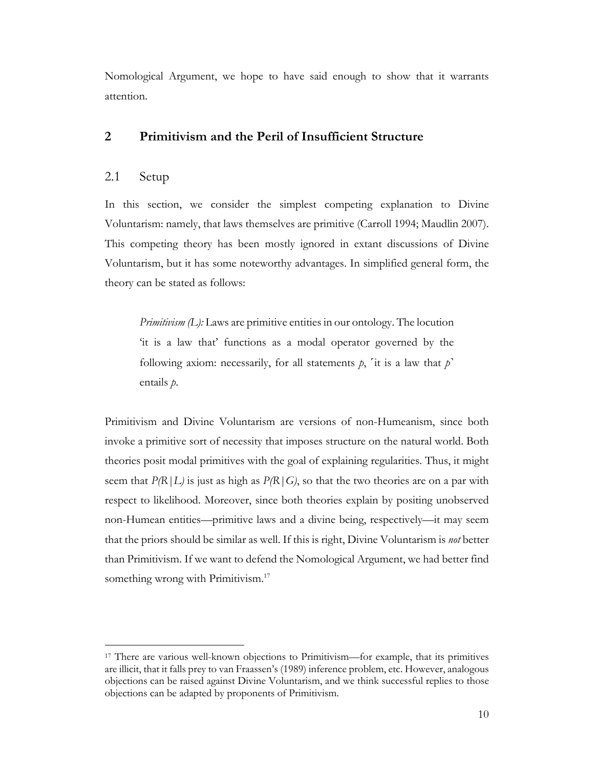Nomological Argument, we hope to have said enough to show that it warrants attention.

# **2 Primitivism and the Peril of Insufficient Structure**

# 2.1 Setup

In this section, we consider the simplest competing explanation to Divine Voluntarism: namely, that laws themselves are primitive (Carroll 1994; Maudlin 2007). This competing theory has been mostly ignored in extant discussions of Divine Voluntarism, but it has some noteworthy advantages. In simplified general form, the theory can be stated as follows:

*Primitivism (L):* Laws are primitive entities in our ontology. The locution 'it is a law that' functions as a modal operator governed by the following axiom: necessarily, for all statements  $p$ ,  $i$ t is a law that  $p'$ entails *p*.

Primitivism and Divine Voluntarism are versions of non-Humeanism, since both invoke a primitive sort of necessity that imposes structure on the natural world. Both theories posit modal primitives with the goal of explaining regularities. Thus, it might seem that  $P(R|L)$  is just as high as  $P(R|G)$ , so that the two theories are on a par with respect to likelihood. Moreover, since both theories explain by positing unobserved non-Humean entities—primitive laws and a divine being, respectively—it may seem that the priors should be similar as well. If this is right, Divine Voluntarism is *not* better than Primitivism. If we want to defend the Nomological Argument, we had better find something wrong with Primitivism.<sup>17</sup>

<sup>17</sup> There are various well-known objections to Primitivism—for example, that its primitives are illicit, that it falls prey to van Fraassen's (1989) inference problem, etc. However, analogous objections can be raised against Divine Voluntarism, and we think successful replies to those objections can be adapted by proponents of Primitivism.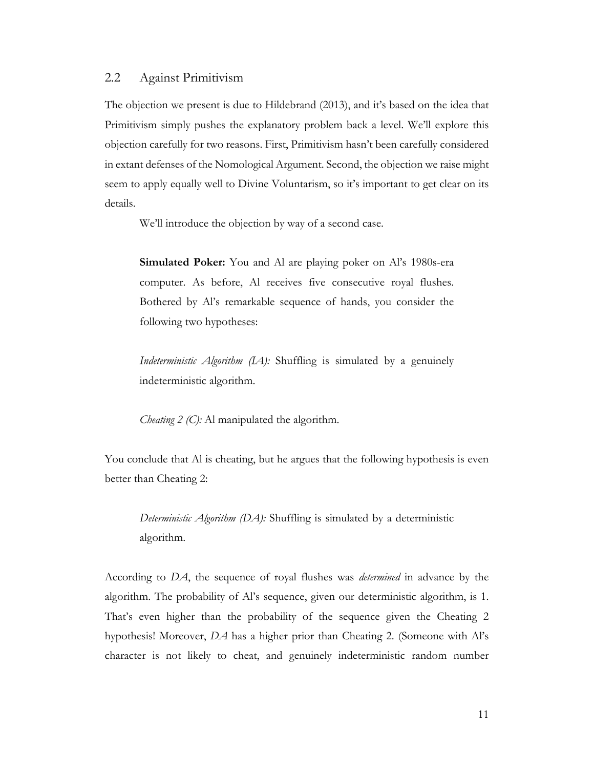# 2.2 Against Primitivism

The objection we present is due to Hildebrand (2013), and it's based on the idea that Primitivism simply pushes the explanatory problem back a level. We'll explore this objection carefully for two reasons. First, Primitivism hasn't been carefully considered in extant defenses of the Nomological Argument. Second, the objection we raise might seem to apply equally well to Divine Voluntarism, so it's important to get clear on its details.

We'll introduce the objection by way of a second case.

**Simulated Poker:** You and Al are playing poker on Al's 1980s-era computer. As before, Al receives five consecutive royal flushes. Bothered by Al's remarkable sequence of hands, you consider the following two hypotheses:

*Indeterministic Algorithm (IA):* Shuffling is simulated by a genuinely indeterministic algorithm.

*Cheating 2 (C):* Al manipulated the algorithm.

You conclude that Al is cheating, but he argues that the following hypothesis is even better than Cheating 2:

*Deterministic Algorithm (DA):* Shuffling is simulated by a deterministic algorithm.

According to *DA*, the sequence of royal flushes was *determined* in advance by the algorithm. The probability of Al's sequence, given our deterministic algorithm, is 1. That's even higher than the probability of the sequence given the Cheating 2 hypothesis! Moreover, *DA* has a higher prior than Cheating 2. (Someone with Al's character is not likely to cheat, and genuinely indeterministic random number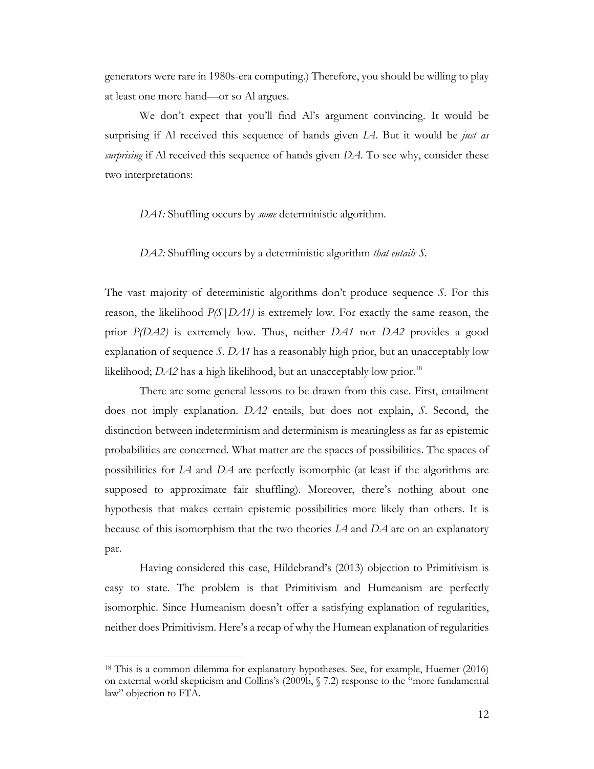generators were rare in 1980s-era computing.) Therefore, you should be willing to play at least one more hand—or so Al argues.

We don't expect that you'll find Al's argument convincing. It would be surprising if Al received this sequence of hands given *IA*. But it would be *just as surprising* if Al received this sequence of hands given *DA*. To see why, consider these two interpretations:

*DA1:* Shuffling occurs by *some* deterministic algorithm.

*DA2:* Shuffling occurs by a deterministic algorithm *that entails S.*

The vast majority of deterministic algorithms don't produce sequence *S*. For this reason, the likelihood *P(S|DA1)* is extremely low. For exactly the same reason, the prior *P(DA2)* is extremely low. Thus, neither *DA1* nor *DA2* provides a good explanation of sequence *S*. *DA1* has a reasonably high prior, but an unacceptably low likelihood; *DA2* has a high likelihood, but an unacceptably low prior.<sup>18</sup>

There are some general lessons to be drawn from this case. First, entailment does not imply explanation. *DA2* entails, but does not explain, *S*. Second, the distinction between indeterminism and determinism is meaningless as far as epistemic probabilities are concerned. What matter are the spaces of possibilities. The spaces of possibilities for *IA* and *DA* are perfectly isomorphic (at least if the algorithms are supposed to approximate fair shuffling). Moreover, there's nothing about one hypothesis that makes certain epistemic possibilities more likely than others. It is because of this isomorphism that the two theories *IA* and *DA* are on an explanatory par.

Having considered this case, Hildebrand's (2013) objection to Primitivism is easy to state. The problem is that Primitivism and Humeanism are perfectly isomorphic. Since Humeanism doesn't offer a satisfying explanation of regularities, neither does Primitivism. Here's a recap of why the Humean explanation of regularities

<sup>18</sup> This is a common dilemma for explanatory hypotheses. See, for example, Huemer (2016) on external world skepticism and Collins's (2009b, § 7.2) response to the "more fundamental law" objection to FTA.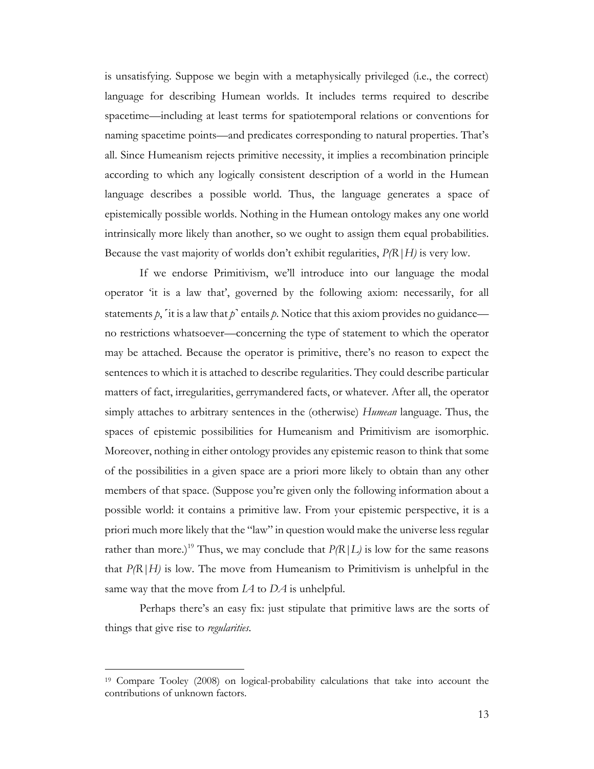is unsatisfying. Suppose we begin with a metaphysically privileged (i.e., the correct) language for describing Humean worlds. It includes terms required to describe spacetime—including at least terms for spatiotemporal relations or conventions for naming spacetime points—and predicates corresponding to natural properties. That's all. Since Humeanism rejects primitive necessity, it implies a recombination principle according to which any logically consistent description of a world in the Humean language describes a possible world. Thus, the language generates a space of epistemically possible worlds. Nothing in the Humean ontology makes any one world intrinsically more likely than another, so we ought to assign them equal probabilities. Because the vast majority of worlds don't exhibit regularities, *P(R|H)* is very low.

If we endorse Primitivism, we'll introduce into our language the modal operator 'it is a law that', governed by the following axiom: necessarily, for all statements  $p_i$ , it is a law that  $p^{\prime}$  entails  $p$ . Notice that this axiom provides no guidance no restrictions whatsoever—concerning the type of statement to which the operator may be attached. Because the operator is primitive, there's no reason to expect the sentences to which it is attached to describe regularities. They could describe particular matters of fact, irregularities, gerrymandered facts, or whatever. After all, the operator simply attaches to arbitrary sentences in the (otherwise) *Humean* language. Thus, the spaces of epistemic possibilities for Humeanism and Primitivism are isomorphic. Moreover, nothing in either ontology provides any epistemic reason to think that some of the possibilities in a given space are a priori more likely to obtain than any other members of that space. (Suppose you're given only the following information about a possible world: it contains a primitive law. From your epistemic perspective, it is a priori much more likely that the "law" in question would make the universe less regular rather than more.)<sup>19</sup> Thus, we may conclude that  $P(R|L)$  is low for the same reasons that *P(R|H)* is low. The move from Humeanism to Primitivism is unhelpful in the same way that the move from *IA* to *DA* is unhelpful.

Perhaps there's an easy fix: just stipulate that primitive laws are the sorts of things that give rise to *regularities*.

<sup>19</sup> Compare Tooley (2008) on logical-probability calculations that take into account the contributions of unknown factors.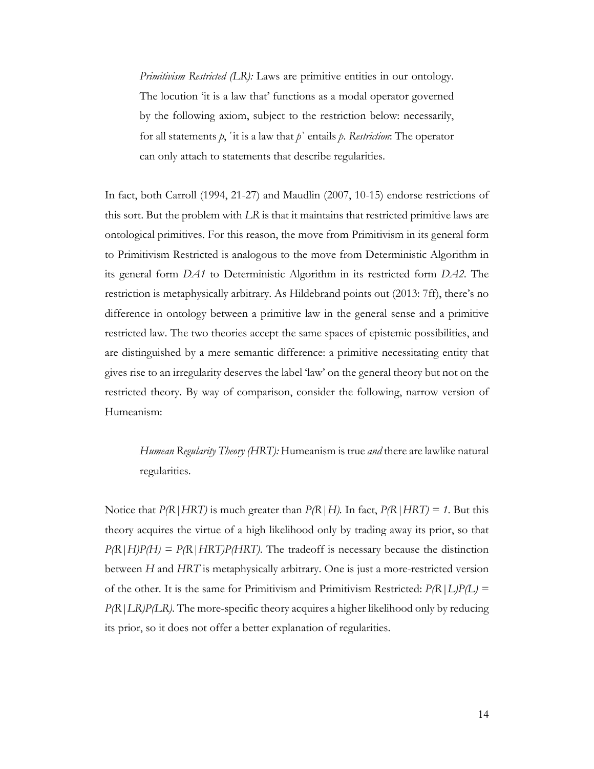*Primitivism Restricted (LR):* Laws are primitive entities in our ontology. The locution 'it is a law that' functions as a modal operator governed by the following axiom, subject to the restriction below: necessarily, for all statements *p*, ˹it is a law that *p*˺ entails *p*. *Restriction*: The operator can only attach to statements that describe regularities.

In fact, both Carroll (1994, 21-27) and Maudlin (2007, 10-15) endorse restrictions of this sort. But the problem with *LR* is that it maintains that restricted primitive laws are ontological primitives. For this reason, the move from Primitivism in its general form to Primitivism Restricted is analogous to the move from Deterministic Algorithm in its general form *DA1* to Deterministic Algorithm in its restricted form *DA2*. The restriction is metaphysically arbitrary. As Hildebrand points out (2013: 7ff), there's no difference in ontology between a primitive law in the general sense and a primitive restricted law. The two theories accept the same spaces of epistemic possibilities, and are distinguished by a mere semantic difference: a primitive necessitating entity that gives rise to an irregularity deserves the label 'law' on the general theory but not on the restricted theory. By way of comparison, consider the following, narrow version of Humeanism:

*Humean Regularity Theory (HRT):* Humeanism is true *and* there are lawlike natural regularities.

Notice that  $P(R|HRT)$  is much greater than  $P(R|H)$ . In fact,  $P(R|HRT) = 1$ . But this theory acquires the virtue of a high likelihood only by trading away its prior, so that  $P(R|H)P(H) = P(R|HRT)P(HRT)$ . The tradeoff is necessary because the distinction between *H* and *HRT* is metaphysically arbitrary. One is just a more-restricted version of the other. It is the same for Primitivism and Primitivism Restricted:  $P(R|L)P(L)$  = *P(R|LR)P(LR)*. The more-specific theory acquires a higher likelihood only by reducing its prior, so it does not offer a better explanation of regularities.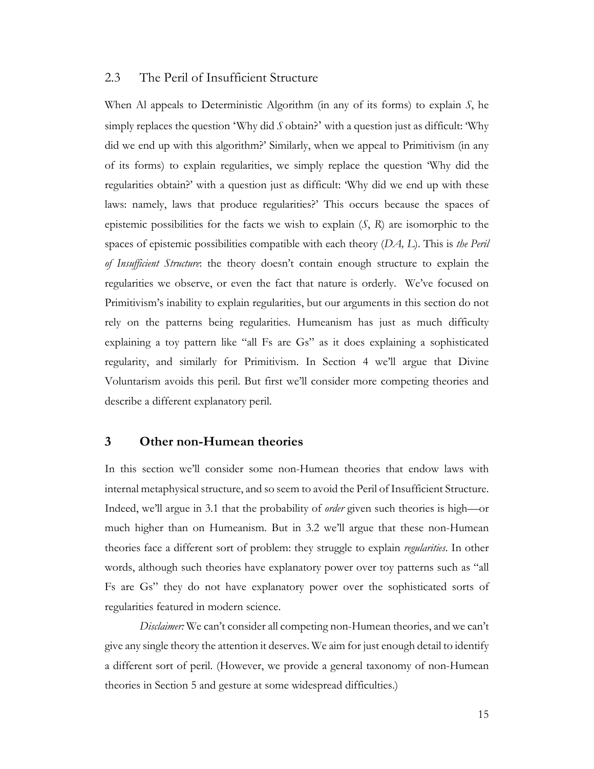# 2.3 The Peril of Insufficient Structure

When Al appeals to Deterministic Algorithm (in any of its forms) to explain *S*, he simply replaces the question 'Why did *S* obtain?' with a question just as difficult: 'Why did we end up with this algorithm?' Similarly, when we appeal to Primitivism (in any of its forms) to explain regularities, we simply replace the question 'Why did the regularities obtain?' with a question just as difficult: 'Why did we end up with these laws: namely, laws that produce regularities?' This occurs because the spaces of epistemic possibilities for the facts we wish to explain (*S*, *R*) are isomorphic to the spaces of epistemic possibilities compatible with each theory (*DA, L*). This is *the Peril of Insufficient Structure*: the theory doesn't contain enough structure to explain the regularities we observe, or even the fact that nature is orderly. We've focused on Primitivism's inability to explain regularities, but our arguments in this section do not rely on the patterns being regularities. Humeanism has just as much difficulty explaining a toy pattern like "all Fs are Gs" as it does explaining a sophisticated regularity, and similarly for Primitivism. In Section 4 we'll argue that Divine Voluntarism avoids this peril. But first we'll consider more competing theories and describe a different explanatory peril.

# **3 Other non-Humean theories**

In this section we'll consider some non-Humean theories that endow laws with internal metaphysical structure, and so seem to avoid the Peril of Insufficient Structure. Indeed, we'll argue in 3.1 that the probability of *order* given such theories is high—or much higher than on Humeanism. But in 3.2 we'll argue that these non-Humean theories face a different sort of problem: they struggle to explain *regularities*. In other words, although such theories have explanatory power over toy patterns such as "all Fs are Gs" they do not have explanatory power over the sophisticated sorts of regularities featured in modern science.

*Disclaimer:* We can't consider all competing non-Humean theories, and we can't give any single theory the attention it deserves. We aim for just enough detail to identify a different sort of peril. (However, we provide a general taxonomy of non-Humean theories in Section 5 and gesture at some widespread difficulties.)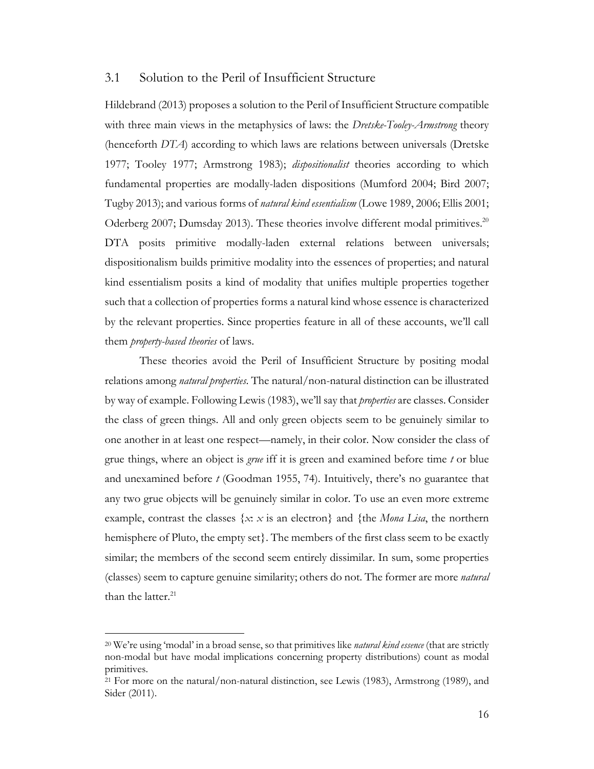### 3.1 Solution to the Peril of Insufficient Structure

Hildebrand (2013) proposes a solution to the Peril of Insufficient Structure compatible with three main views in the metaphysics of laws: the *Dretske-Tooley-Armstrong* theory (henceforth *DTA*) according to which laws are relations between universals (Dretske 1977; Tooley 1977; Armstrong 1983); *dispositionalist* theories according to which fundamental properties are modally-laden dispositions (Mumford 2004; Bird 2007; Tugby 2013); and various forms of *natural kind essentialism* (Lowe 1989, 2006; Ellis 2001; Oderberg 2007; Dumsday 2013). These theories involve different modal primitives.<sup>20</sup> DTA posits primitive modally-laden external relations between universals; dispositionalism builds primitive modality into the essences of properties; and natural kind essentialism posits a kind of modality that unifies multiple properties together such that a collection of properties forms a natural kind whose essence is characterized by the relevant properties. Since properties feature in all of these accounts, we'll call them *property-based theories* of laws.

These theories avoid the Peril of Insufficient Structure by positing modal relations among *natural properties*. The natural/non-natural distinction can be illustrated by way of example. Following Lewis (1983), we'll say that *properties* are classes. Consider the class of green things. All and only green objects seem to be genuinely similar to one another in at least one respect—namely, in their color. Now consider the class of grue things, where an object is *grue* iff it is green and examined before time *t* or blue and unexamined before *t* (Goodman 1955, 74). Intuitively, there's no guarantee that any two grue objects will be genuinely similar in color. To use an even more extreme example, contrast the classes  $\{x: x \text{ is an electron}\}\$  and  $\{\text{the } \textit{Mona } \textit{Lisa}\}\$ , the northern hemisphere of Pluto, the empty set}. The members of the first class seem to be exactly similar; the members of the second seem entirely dissimilar. In sum, some properties (classes) seem to capture genuine similarity; others do not. The former are more *natural* than the latter.<sup>21</sup>

<sup>20</sup> We're using 'modal' in a broad sense, so that primitives like *natural kind essence* (that are strictly non-modal but have modal implications concerning property distributions) count as modal primitives.

<sup>21</sup> For more on the natural/non-natural distinction, see Lewis (1983), Armstrong (1989), and Sider (2011).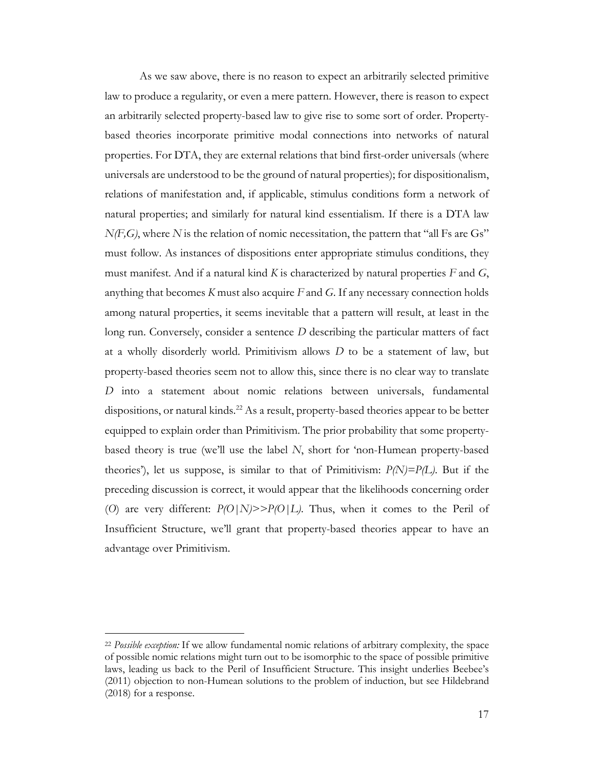As we saw above, there is no reason to expect an arbitrarily selected primitive law to produce a regularity, or even a mere pattern. However, there is reason to expect an arbitrarily selected property-based law to give rise to some sort of order. Propertybased theories incorporate primitive modal connections into networks of natural properties. For DTA, they are external relations that bind first-order universals (where universals are understood to be the ground of natural properties); for dispositionalism, relations of manifestation and, if applicable, stimulus conditions form a network of natural properties; and similarly for natural kind essentialism. If there is a DTA law  $N(F,G)$ , where N is the relation of nomic necessitation, the pattern that "all Fs are Gs" must follow. As instances of dispositions enter appropriate stimulus conditions, they must manifest. And if a natural kind *K* is characterized by natural properties *F* and *G*, anything that becomes *K* must also acquire *F* and *G*. If any necessary connection holds among natural properties, it seems inevitable that a pattern will result, at least in the long run. Conversely, consider a sentence *D* describing the particular matters of fact at a wholly disorderly world. Primitivism allows *D* to be a statement of law, but property-based theories seem not to allow this, since there is no clear way to translate *D* into a statement about nomic relations between universals, fundamental dispositions, or natural kinds.<sup>22</sup> As a result, property-based theories appear to be better equipped to explain order than Primitivism. The prior probability that some propertybased theory is true (we'll use the label *N*, short for 'non-Humean property-based theories'), let us suppose, is similar to that of Primitivism: *P(N)=P(L)*. But if the preceding discussion is correct, it would appear that the likelihoods concerning order (*O*) are very different: *P(O|N)>>P(O|L)*. Thus, when it comes to the Peril of Insufficient Structure, we'll grant that property-based theories appear to have an advantage over Primitivism.

<sup>22</sup> *Possible exception:* If we allow fundamental nomic relations of arbitrary complexity, the space of possible nomic relations might turn out to be isomorphic to the space of possible primitive laws, leading us back to the Peril of Insufficient Structure. This insight underlies Beebee's (2011) objection to non-Humean solutions to the problem of induction, but see Hildebrand (2018) for a response.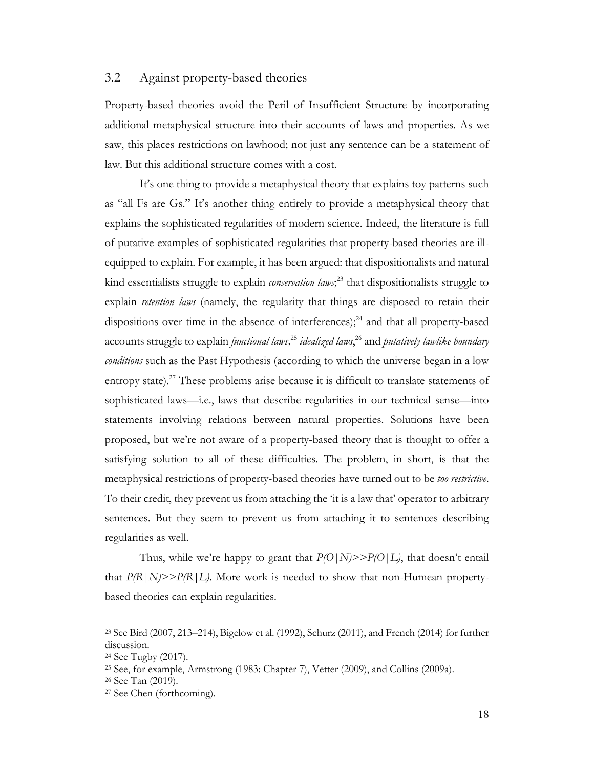### 3.2 Against property-based theories

Property-based theories avoid the Peril of Insufficient Structure by incorporating additional metaphysical structure into their accounts of laws and properties. As we saw, this places restrictions on lawhood; not just any sentence can be a statement of law. But this additional structure comes with a cost.

It's one thing to provide a metaphysical theory that explains toy patterns such as "all Fs are Gs." It's another thing entirely to provide a metaphysical theory that explains the sophisticated regularities of modern science. Indeed, the literature is full of putative examples of sophisticated regularities that property-based theories are illequipped to explain. For example, it has been argued: that dispositionalists and natural kind essentialists struggle to explain *conservation laws*; <sup>23</sup> that dispositionalists struggle to explain *retention laws* (namely, the regularity that things are disposed to retain their dispositions over time in the absence of interferences); $^{24}$  and that all property-based accounts struggle to explain *functional laws,*<sup>25</sup> *idealized laws*, <sup>26</sup> and *putatively lawlike boundary conditions* such as the Past Hypothesis (according to which the universe began in a low entropy state).<sup>27</sup> These problems arise because it is difficult to translate statements of sophisticated laws—i.e., laws that describe regularities in our technical sense—into statements involving relations between natural properties. Solutions have been proposed, but we're not aware of a property-based theory that is thought to offer a satisfying solution to all of these difficulties. The problem, in short, is that the metaphysical restrictions of property-based theories have turned out to be *too restrictive*. To their credit, they prevent us from attaching the 'it is a law that' operator to arbitrary sentences. But they seem to prevent us from attaching it to sentences describing regularities as well.

Thus, while we're happy to grant that *P(O|N)>>P(O|L)*, that doesn't entail that  $P(R|N)>>P(R|L)$ . More work is needed to show that non-Humean propertybased theories can explain regularities.

<sup>23</sup> See Bird (2007, 213–214), Bigelow et al. (1992), Schurz (2011), and French (2014) for further discussion.

<sup>24</sup> See Tugby (2017).

<sup>25</sup> See, for example, Armstrong (1983: Chapter 7), Vetter (2009), and Collins (2009a).

<sup>26</sup> See Tan (2019).

<sup>27</sup> See Chen (forthcoming).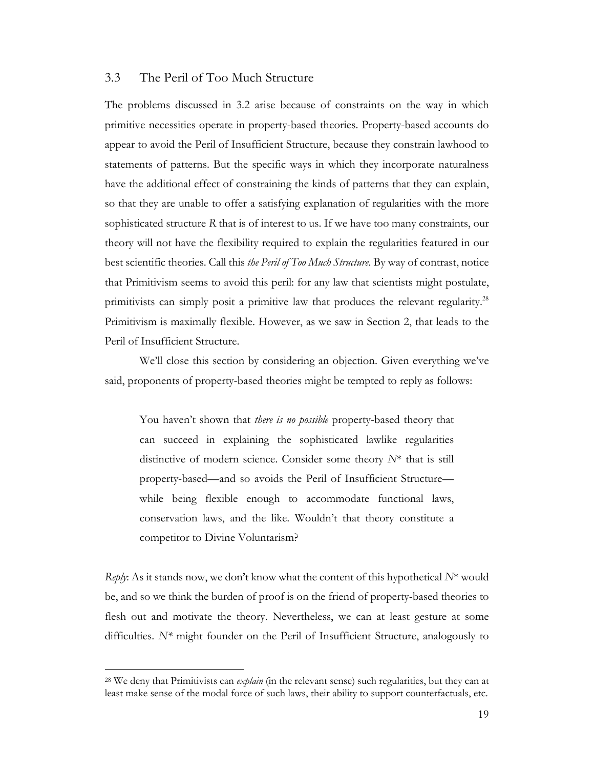# 3.3 The Peril of Too Much Structure

The problems discussed in 3.2 arise because of constraints on the way in which primitive necessities operate in property-based theories. Property-based accounts do appear to avoid the Peril of Insufficient Structure, because they constrain lawhood to statements of patterns. But the specific ways in which they incorporate naturalness have the additional effect of constraining the kinds of patterns that they can explain, so that they are unable to offer a satisfying explanation of regularities with the more sophisticated structure *R* that is of interest to us. If we have too many constraints, our theory will not have the flexibility required to explain the regularities featured in our best scientific theories. Call this *the Peril of Too Much Structure*. By way of contrast, notice that Primitivism seems to avoid this peril: for any law that scientists might postulate, primitivists can simply posit a primitive law that produces the relevant regularity.<sup>28</sup> Primitivism is maximally flexible. However, as we saw in Section 2, that leads to the Peril of Insufficient Structure.

We'll close this section by considering an objection. Given everything we've said, proponents of property-based theories might be tempted to reply as follows:

You haven't shown that *there is no possible* property-based theory that can succeed in explaining the sophisticated lawlike regularities distinctive of modern science. Consider some theory *N*\* that is still property-based—and so avoids the Peril of Insufficient Structure while being flexible enough to accommodate functional laws, conservation laws, and the like. Wouldn't that theory constitute a competitor to Divine Voluntarism?

*Reply*: As it stands now, we don't know what the content of this hypothetical *N*\* would be, and so we think the burden of proof is on the friend of property-based theories to flesh out and motivate the theory. Nevertheless, we can at least gesture at some difficulties. *N\** might founder on the Peril of Insufficient Structure, analogously to

<sup>28</sup> We deny that Primitivists can *explain* (in the relevant sense) such regularities, but they can at least make sense of the modal force of such laws, their ability to support counterfactuals, etc.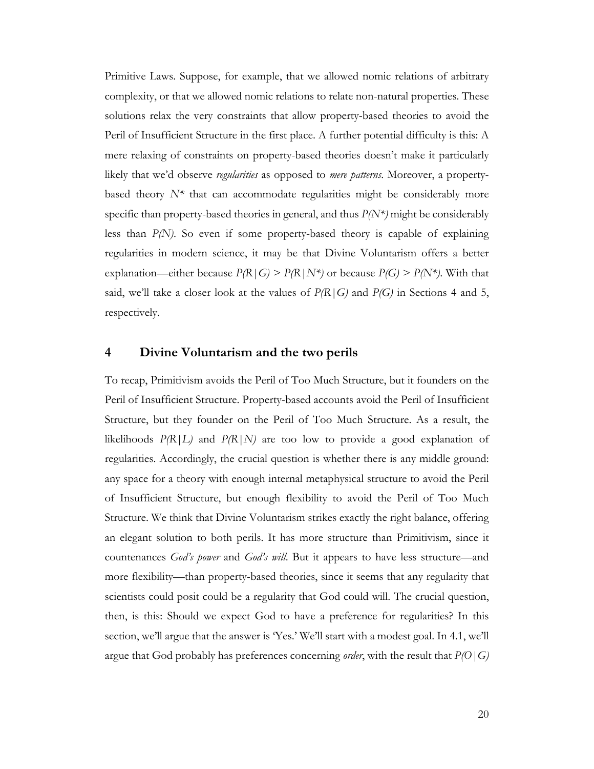Primitive Laws. Suppose, for example, that we allowed nomic relations of arbitrary complexity, or that we allowed nomic relations to relate non-natural properties. These solutions relax the very constraints that allow property-based theories to avoid the Peril of Insufficient Structure in the first place. A further potential difficulty is this: A mere relaxing of constraints on property-based theories doesn't make it particularly likely that we'd observe *regularities* as opposed to *mere patterns*. Moreover, a propertybased theory  $N^*$  that can accommodate regularities might be considerably more specific than property-based theories in general, and thus *P(N\*)* might be considerably less than *P(N)*. So even if some property-based theory is capable of explaining regularities in modern science, it may be that Divine Voluntarism offers a better explanation—either because  $P(R|G) > P(R|N^*)$  or because  $P(G) > P(N^*)$ . With that said, we'll take a closer look at the values of  $P(R|G)$  and  $P(G)$  in Sections 4 and 5, respectively.

# **4 Divine Voluntarism and the two perils**

To recap, Primitivism avoids the Peril of Too Much Structure, but it founders on the Peril of Insufficient Structure. Property-based accounts avoid the Peril of Insufficient Structure, but they founder on the Peril of Too Much Structure. As a result, the likelihoods  $P(R|L)$  and  $P(R|N)$  are too low to provide a good explanation of regularities. Accordingly, the crucial question is whether there is any middle ground: any space for a theory with enough internal metaphysical structure to avoid the Peril of Insufficient Structure, but enough flexibility to avoid the Peril of Too Much Structure. We think that Divine Voluntarism strikes exactly the right balance, offering an elegant solution to both perils. It has more structure than Primitivism, since it countenances *God's power* and *God's will*. But it appears to have less structure—and more flexibility—than property-based theories, since it seems that any regularity that scientists could posit could be a regularity that God could will. The crucial question, then, is this: Should we expect God to have a preference for regularities? In this section, we'll argue that the answer is 'Yes.' We'll start with a modest goal. In 4.1, we'll argue that God probably has preferences concerning *order*, with the result that *P(O|G)*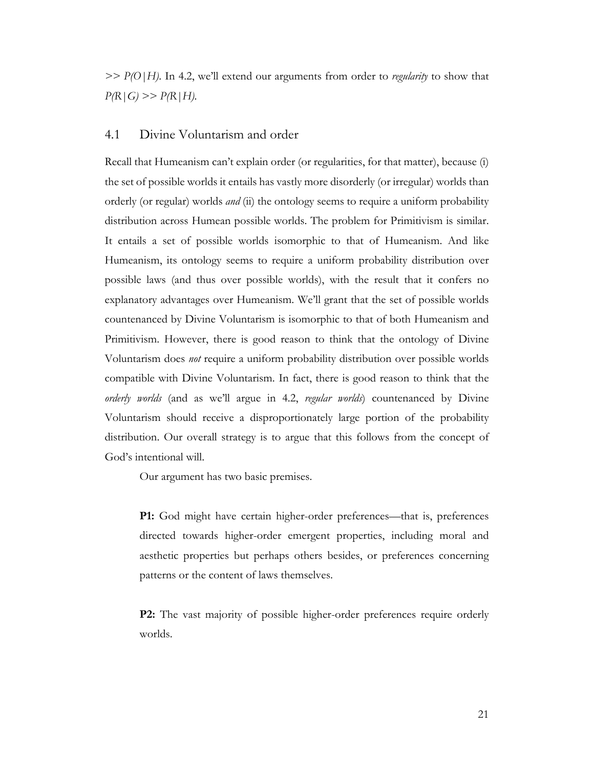*>> P(O|H)*. In 4.2, we'll extend our arguments from order to *regularity* to show that  $P(R|G) >> P(R|H)$ .

# 4.1 Divine Voluntarism and order

Recall that Humeanism can't explain order (or regularities, for that matter), because (i) the set of possible worlds it entails has vastly more disorderly (or irregular) worlds than orderly (or regular) worlds *and* (ii) the ontology seems to require a uniform probability distribution across Humean possible worlds. The problem for Primitivism is similar. It entails a set of possible worlds isomorphic to that of Humeanism. And like Humeanism, its ontology seems to require a uniform probability distribution over possible laws (and thus over possible worlds), with the result that it confers no explanatory advantages over Humeanism. We'll grant that the set of possible worlds countenanced by Divine Voluntarism is isomorphic to that of both Humeanism and Primitivism. However, there is good reason to think that the ontology of Divine Voluntarism does *not* require a uniform probability distribution over possible worlds compatible with Divine Voluntarism. In fact, there is good reason to think that the *orderly worlds* (and as we'll argue in 4.2, *regular worlds*) countenanced by Divine Voluntarism should receive a disproportionately large portion of the probability distribution. Our overall strategy is to argue that this follows from the concept of God's intentional will.

Our argument has two basic premises.

**P1:** God might have certain higher-order preferences—that is, preferences directed towards higher-order emergent properties, including moral and aesthetic properties but perhaps others besides, or preferences concerning patterns or the content of laws themselves.

**P2:** The vast majority of possible higher-order preferences require orderly worlds.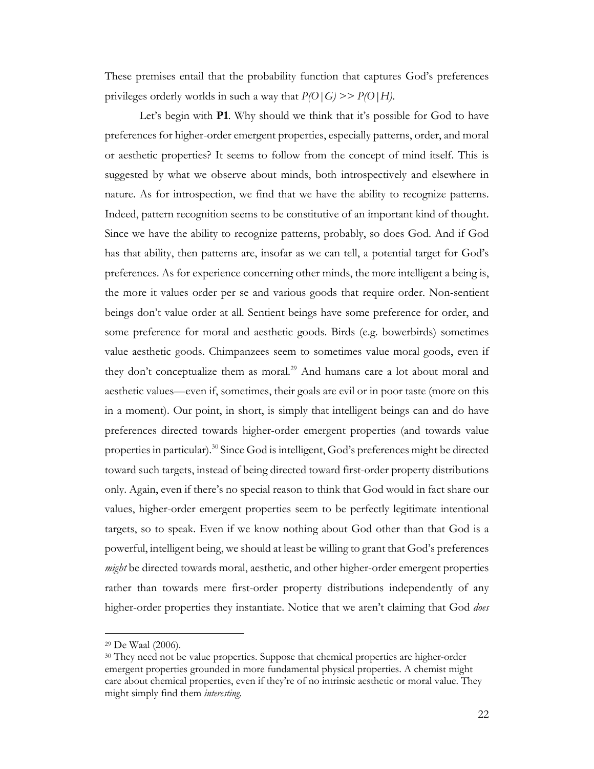These premises entail that the probability function that captures God's preferences privileges orderly worlds in such a way that *P(O|G) >> P(O|H)*.

Let's begin with **P1**. Why should we think that it's possible for God to have preferences for higher-order emergent properties, especially patterns, order, and moral or aesthetic properties? It seems to follow from the concept of mind itself. This is suggested by what we observe about minds, both introspectively and elsewhere in nature. As for introspection, we find that we have the ability to recognize patterns. Indeed, pattern recognition seems to be constitutive of an important kind of thought. Since we have the ability to recognize patterns, probably, so does God. And if God has that ability, then patterns are, insofar as we can tell, a potential target for God's preferences. As for experience concerning other minds, the more intelligent a being is, the more it values order per se and various goods that require order. Non-sentient beings don't value order at all. Sentient beings have some preference for order, and some preference for moral and aesthetic goods. Birds (e.g. bowerbirds) sometimes value aesthetic goods. Chimpanzees seem to sometimes value moral goods, even if they don't conceptualize them as moral.<sup>29</sup> And humans care a lot about moral and aesthetic values—even if, sometimes, their goals are evil or in poor taste (more on this in a moment). Our point, in short, is simply that intelligent beings can and do have preferences directed towards higher-order emergent properties (and towards value properties in particular).<sup>30</sup> Since God is intelligent, God's preferences might be directed toward such targets, instead of being directed toward first-order property distributions only. Again, even if there's no special reason to think that God would in fact share our values, higher-order emergent properties seem to be perfectly legitimate intentional targets, so to speak. Even if we know nothing about God other than that God is a powerful, intelligent being, we should at least be willing to grant that God's preferences *might* be directed towards moral, aesthetic, and other higher-order emergent properties rather than towards mere first-order property distributions independently of any higher-order properties they instantiate. Notice that we aren't claiming that God *does* 

<sup>29</sup> De Waal (2006).

<sup>&</sup>lt;sup>30</sup> They need not be value properties. Suppose that chemical properties are higher-order emergent properties grounded in more fundamental physical properties. A chemist might care about chemical properties, even if they're of no intrinsic aesthetic or moral value. They might simply find them *interesting.*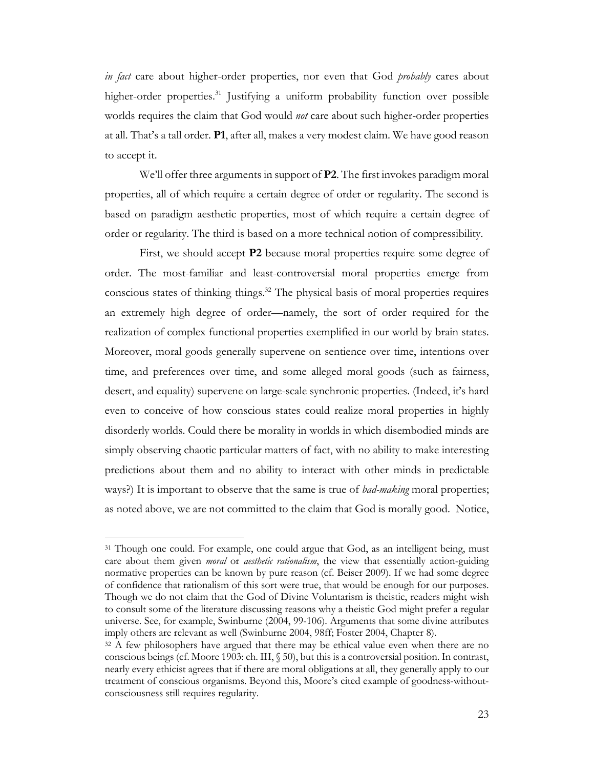*in fact* care about higher-order properties, nor even that God *probably* cares about higher-order properties.<sup>31</sup> Justifying a uniform probability function over possible worlds requires the claim that God would *not* care about such higher-order properties at all. That's a tall order. **P1**, after all, makes a very modest claim. We have good reason to accept it.

We'll offer three arguments in support of **P2**. The first invokes paradigm moral properties, all of which require a certain degree of order or regularity. The second is based on paradigm aesthetic properties, most of which require a certain degree of order or regularity. The third is based on a more technical notion of compressibility.

First, we should accept **P2** because moral properties require some degree of order. The most-familiar and least-controversial moral properties emerge from conscious states of thinking things.<sup>32</sup> The physical basis of moral properties requires an extremely high degree of order—namely, the sort of order required for the realization of complex functional properties exemplified in our world by brain states. Moreover, moral goods generally supervene on sentience over time, intentions over time, and preferences over time, and some alleged moral goods (such as fairness, desert, and equality) supervene on large-scale synchronic properties. (Indeed, it's hard even to conceive of how conscious states could realize moral properties in highly disorderly worlds. Could there be morality in worlds in which disembodied minds are simply observing chaotic particular matters of fact, with no ability to make interesting predictions about them and no ability to interact with other minds in predictable ways?) It is important to observe that the same is true of *bad-making* moral properties; as noted above, we are not committed to the claim that God is morally good. Notice,

<sup>&</sup>lt;sup>31</sup> Though one could. For example, one could argue that God, as an intelligent being, must care about them given *moral* or *aesthetic rationalism*, the view that essentially action-guiding normative properties can be known by pure reason (cf. Beiser 2009). If we had some degree of confidence that rationalism of this sort were true, that would be enough for our purposes. Though we do not claim that the God of Divine Voluntarism is theistic, readers might wish to consult some of the literature discussing reasons why a theistic God might prefer a regular universe. See, for example, Swinburne (2004, 99-106). Arguments that some divine attributes imply others are relevant as well (Swinburne 2004, 98ff; Foster 2004, Chapter 8).

<sup>&</sup>lt;sup>32</sup> A few philosophers have argued that there may be ethical value even when there are no conscious beings (cf. Moore 1903: ch. III, § 50), but this is a controversial position. In contrast, nearly every ethicist agrees that if there are moral obligations at all, they generally apply to our treatment of conscious organisms. Beyond this, Moore's cited example of goodness-withoutconsciousness still requires regularity.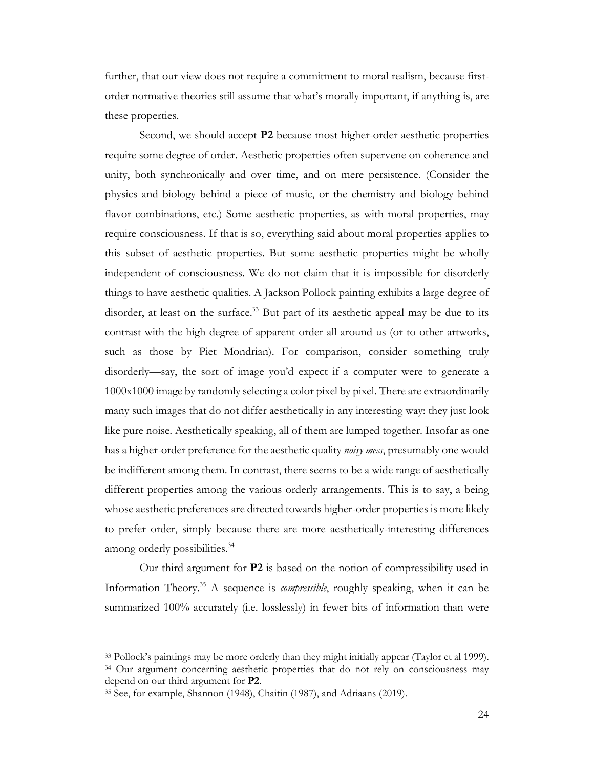further, that our view does not require a commitment to moral realism, because firstorder normative theories still assume that what's morally important, if anything is, are these properties.

Second, we should accept **P2** because most higher-order aesthetic properties require some degree of order. Aesthetic properties often supervene on coherence and unity, both synchronically and over time, and on mere persistence. (Consider the physics and biology behind a piece of music, or the chemistry and biology behind flavor combinations, etc.) Some aesthetic properties, as with moral properties, may require consciousness. If that is so, everything said about moral properties applies to this subset of aesthetic properties. But some aesthetic properties might be wholly independent of consciousness. We do not claim that it is impossible for disorderly things to have aesthetic qualities. A Jackson Pollock painting exhibits a large degree of disorder, at least on the surface.<sup>33</sup> But part of its aesthetic appeal may be due to its contrast with the high degree of apparent order all around us (or to other artworks, such as those by Piet Mondrian). For comparison, consider something truly disorderly—say, the sort of image you'd expect if a computer were to generate a 1000x1000 image by randomly selecting a color pixel by pixel. There are extraordinarily many such images that do not differ aesthetically in any interesting way: they just look like pure noise. Aesthetically speaking, all of them are lumped together. Insofar as one has a higher-order preference for the aesthetic quality *noisy mess*, presumably one would be indifferent among them. In contrast, there seems to be a wide range of aesthetically different properties among the various orderly arrangements. This is to say, a being whose aesthetic preferences are directed towards higher-order properties is more likely to prefer order, simply because there are more aesthetically-interesting differences among orderly possibilities.<sup>34</sup>

Our third argument for **P2** is based on the notion of compressibility used in Information Theory.35 A sequence is *compressible*, roughly speaking, when it can be summarized 100% accurately (i.e. losslessly) in fewer bits of information than were

<sup>33</sup> Pollock's paintings may be more orderly than they might initially appear (Taylor et al 1999). <sup>34</sup> Our argument concerning aesthetic properties that do not rely on consciousness may depend on our third argument for **P2**.

<sup>35</sup> See, for example, Shannon (1948), Chaitin (1987), and Adriaans (2019).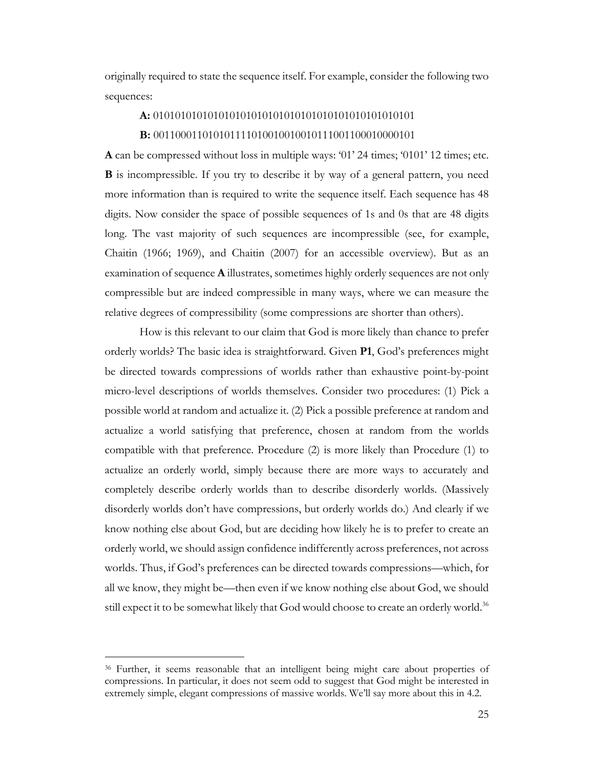originally required to state the sequence itself. For example, consider the following two sequences:

#### **A:** 010101010101010101010101010101010101010101010101

#### **B:** 001100011010101111010010010010111001100010000101

**A** can be compressed without loss in multiple ways: '01' 24 times; '0101' 12 times; etc. **B** is incompressible. If you try to describe it by way of a general pattern, you need more information than is required to write the sequence itself. Each sequence has 48 digits. Now consider the space of possible sequences of 1s and 0s that are 48 digits long. The vast majority of such sequences are incompressible (see, for example, Chaitin (1966; 1969), and Chaitin (2007) for an accessible overview). But as an examination of sequence **A** illustrates, sometimes highly orderly sequences are not only compressible but are indeed compressible in many ways, where we can measure the relative degrees of compressibility (some compressions are shorter than others).

How is this relevant to our claim that God is more likely than chance to prefer orderly worlds? The basic idea is straightforward. Given **P1**, God's preferences might be directed towards compressions of worlds rather than exhaustive point-by-point micro-level descriptions of worlds themselves. Consider two procedures: (1) Pick a possible world at random and actualize it. (2) Pick a possible preference at random and actualize a world satisfying that preference, chosen at random from the worlds compatible with that preference. Procedure (2) is more likely than Procedure (1) to actualize an orderly world, simply because there are more ways to accurately and completely describe orderly worlds than to describe disorderly worlds. (Massively disorderly worlds don't have compressions, but orderly worlds do.) And clearly if we know nothing else about God, but are deciding how likely he is to prefer to create an orderly world, we should assign confidence indifferently across preferences, not across worlds. Thus, if God's preferences can be directed towards compressions—which, for all we know, they might be—then even if we know nothing else about God, we should still expect it to be somewhat likely that God would choose to create an orderly world.<sup>36</sup>

<sup>36</sup> Further, it seems reasonable that an intelligent being might care about properties of compressions. In particular, it does not seem odd to suggest that God might be interested in extremely simple, elegant compressions of massive worlds. We'll say more about this in 4.2.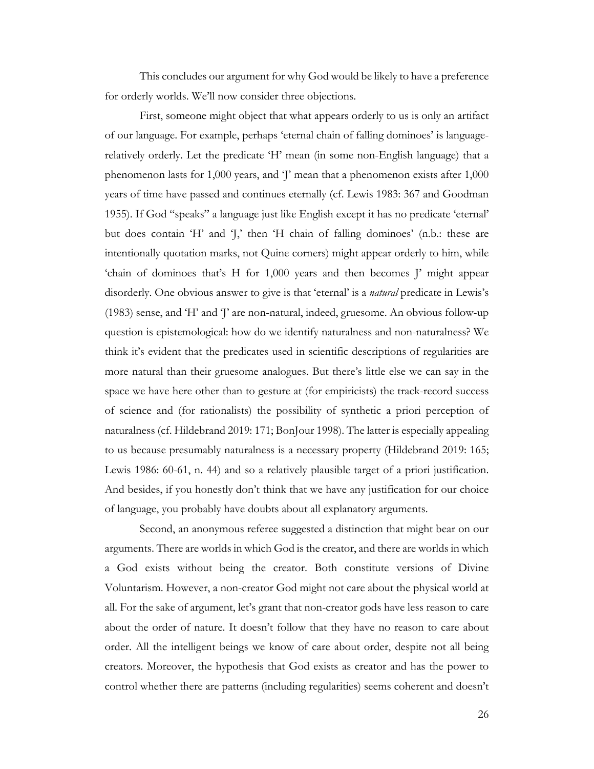This concludes our argument for why God would be likely to have a preference for orderly worlds. We'll now consider three objections.

First, someone might object that what appears orderly to us is only an artifact of our language. For example, perhaps 'eternal chain of falling dominoes' is languagerelatively orderly. Let the predicate 'H' mean (in some non-English language) that a phenomenon lasts for 1,000 years, and 'J' mean that a phenomenon exists after 1,000 years of time have passed and continues eternally (cf. Lewis 1983: 367 and Goodman 1955). If God "speaks" a language just like English except it has no predicate 'eternal' but does contain 'H' and 'J,' then 'H chain of falling dominoes' (n.b.: these are intentionally quotation marks, not Quine corners) might appear orderly to him, while 'chain of dominoes that's H for 1,000 years and then becomes J' might appear disorderly. One obvious answer to give is that 'eternal' is a *natural* predicate in Lewis's (1983) sense, and 'H' and 'J' are non-natural, indeed, gruesome. An obvious follow-up question is epistemological: how do we identify naturalness and non-naturalness? We think it's evident that the predicates used in scientific descriptions of regularities are more natural than their gruesome analogues. But there's little else we can say in the space we have here other than to gesture at (for empiricists) the track-record success of science and (for rationalists) the possibility of synthetic a priori perception of naturalness (cf. Hildebrand 2019: 171; BonJour 1998). The latter is especially appealing to us because presumably naturalness is a necessary property (Hildebrand 2019: 165; Lewis 1986: 60-61, n. 44) and so a relatively plausible target of a priori justification. And besides, if you honestly don't think that we have any justification for our choice of language, you probably have doubts about all explanatory arguments.

Second, an anonymous referee suggested a distinction that might bear on our arguments. There are worlds in which God is the creator, and there are worlds in which a God exists without being the creator. Both constitute versions of Divine Voluntarism. However, a non-creator God might not care about the physical world at all. For the sake of argument, let's grant that non-creator gods have less reason to care about the order of nature. It doesn't follow that they have no reason to care about order. All the intelligent beings we know of care about order, despite not all being creators. Moreover, the hypothesis that God exists as creator and has the power to control whether there are patterns (including regularities) seems coherent and doesn't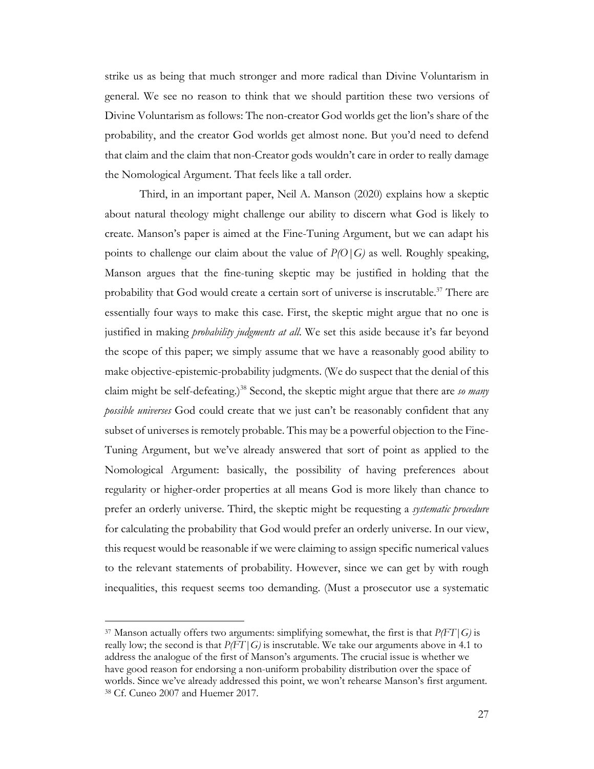strike us as being that much stronger and more radical than Divine Voluntarism in general. We see no reason to think that we should partition these two versions of Divine Voluntarism as follows: The non-creator God worlds get the lion's share of the probability, and the creator God worlds get almost none. But you'd need to defend that claim and the claim that non-Creator gods wouldn't care in order to really damage the Nomological Argument. That feels like a tall order.

Third, in an important paper, Neil A. Manson (2020) explains how a skeptic about natural theology might challenge our ability to discern what God is likely to create. Manson's paper is aimed at the Fine-Tuning Argument, but we can adapt his points to challenge our claim about the value of *P(O|G)* as well. Roughly speaking, Manson argues that the fine-tuning skeptic may be justified in holding that the probability that God would create a certain sort of universe is inscrutable.<sup>37</sup> There are essentially four ways to make this case. First, the skeptic might argue that no one is justified in making *probability judgments at all*. We set this aside because it's far beyond the scope of this paper; we simply assume that we have a reasonably good ability to make objective-epistemic-probability judgments. (We do suspect that the denial of this claim might be self-defeating.)<sup>38</sup> Second, the skeptic might argue that there are *so many possible universes* God could create that we just can't be reasonably confident that any subset of universes is remotely probable. This may be a powerful objection to the Fine-Tuning Argument, but we've already answered that sort of point as applied to the Nomological Argument: basically, the possibility of having preferences about regularity or higher-order properties at all means God is more likely than chance to prefer an orderly universe. Third, the skeptic might be requesting a *systematic procedure* for calculating the probability that God would prefer an orderly universe. In our view, this request would be reasonable if we were claiming to assign specific numerical values to the relevant statements of probability. However, since we can get by with rough inequalities, this request seems too demanding. (Must a prosecutor use a systematic

<sup>37</sup> Manson actually offers two arguments: simplifying somewhat, the first is that *P(FT|G)* is really low; the second is that *P(FT|G)* is inscrutable. We take our arguments above in 4.1 to address the analogue of the first of Manson's arguments. The crucial issue is whether we have good reason for endorsing a non-uniform probability distribution over the space of worlds. Since we've already addressed this point, we won't rehearse Manson's first argument. <sup>38</sup> Cf. Cuneo 2007 and Huemer 2017.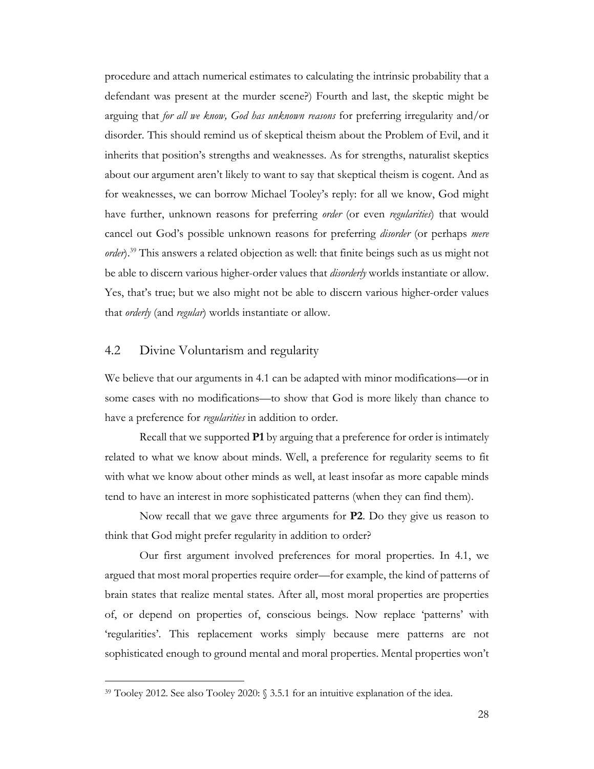procedure and attach numerical estimates to calculating the intrinsic probability that a defendant was present at the murder scene?) Fourth and last, the skeptic might be arguing that *for all we know, God has unknown reasons* for preferring irregularity and/or disorder. This should remind us of skeptical theism about the Problem of Evil, and it inherits that position's strengths and weaknesses. As for strengths, naturalist skeptics about our argument aren't likely to want to say that skeptical theism is cogent. And as for weaknesses, we can borrow Michael Tooley's reply: for all we know, God might have further, unknown reasons for preferring *order* (or even *regularities*) that would cancel out God's possible unknown reasons for preferring *disorder* (or perhaps *mere order*).<sup>39</sup> This answers a related objection as well: that finite beings such as us might not be able to discern various higher-order values that *disorderly* worlds instantiate or allow. Yes, that's true; but we also might not be able to discern various higher-order values that *orderly* (and *regular*) worlds instantiate or allow.

### 4.2 Divine Voluntarism and regularity

We believe that our arguments in 4.1 can be adapted with minor modifications—or in some cases with no modifications—to show that God is more likely than chance to have a preference for *regularities* in addition to order.

Recall that we supported **P1** by arguing that a preference for order is intimately related to what we know about minds. Well, a preference for regularity seems to fit with what we know about other minds as well, at least insofar as more capable minds tend to have an interest in more sophisticated patterns (when they can find them).

Now recall that we gave three arguments for **P2**. Do they give us reason to think that God might prefer regularity in addition to order?

Our first argument involved preferences for moral properties. In 4.1, we argued that most moral properties require order—for example, the kind of patterns of brain states that realize mental states. After all, most moral properties are properties of, or depend on properties of, conscious beings. Now replace 'patterns' with 'regularities'. This replacement works simply because mere patterns are not sophisticated enough to ground mental and moral properties. Mental properties won't

<sup>39</sup> Tooley 2012. See also Tooley 2020: § 3.5.1 for an intuitive explanation of the idea.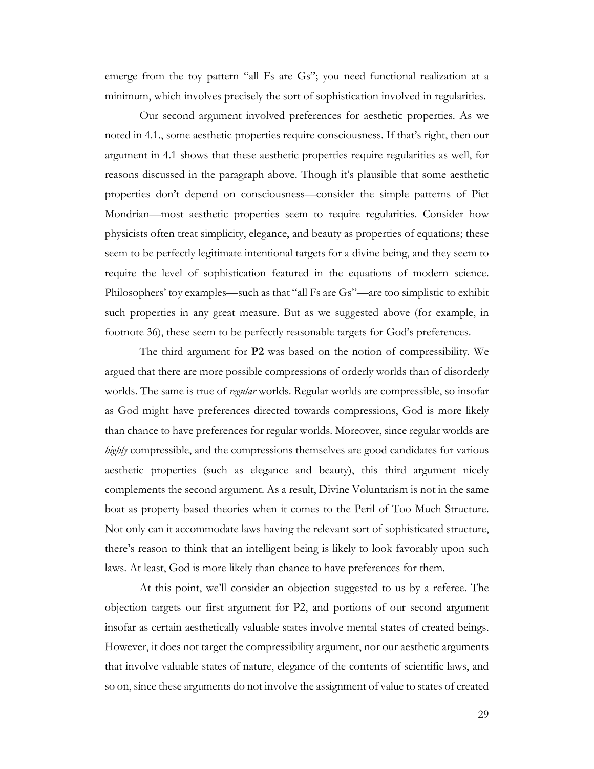emerge from the toy pattern "all Fs are Gs"; you need functional realization at a minimum, which involves precisely the sort of sophistication involved in regularities.

Our second argument involved preferences for aesthetic properties. As we noted in 4.1., some aesthetic properties require consciousness. If that's right, then our argument in 4.1 shows that these aesthetic properties require regularities as well, for reasons discussed in the paragraph above. Though it's plausible that some aesthetic properties don't depend on consciousness—consider the simple patterns of Piet Mondrian—most aesthetic properties seem to require regularities. Consider how physicists often treat simplicity, elegance, and beauty as properties of equations; these seem to be perfectly legitimate intentional targets for a divine being, and they seem to require the level of sophistication featured in the equations of modern science. Philosophers' toy examples—such as that "all Fs are Gs"—are too simplistic to exhibit such properties in any great measure. But as we suggested above (for example, in footnote 36), these seem to be perfectly reasonable targets for God's preferences.

The third argument for **P2** was based on the notion of compressibility. We argued that there are more possible compressions of orderly worlds than of disorderly worlds. The same is true of *regular* worlds. Regular worlds are compressible, so insofar as God might have preferences directed towards compressions, God is more likely than chance to have preferences for regular worlds. Moreover, since regular worlds are *highly* compressible, and the compressions themselves are good candidates for various aesthetic properties (such as elegance and beauty), this third argument nicely complements the second argument. As a result, Divine Voluntarism is not in the same boat as property-based theories when it comes to the Peril of Too Much Structure. Not only can it accommodate laws having the relevant sort of sophisticated structure, there's reason to think that an intelligent being is likely to look favorably upon such laws. At least, God is more likely than chance to have preferences for them.

At this point, we'll consider an objection suggested to us by a referee. The objection targets our first argument for P2, and portions of our second argument insofar as certain aesthetically valuable states involve mental states of created beings. However, it does not target the compressibility argument, nor our aesthetic arguments that involve valuable states of nature, elegance of the contents of scientific laws, and so on, since these arguments do not involve the assignment of value to states of created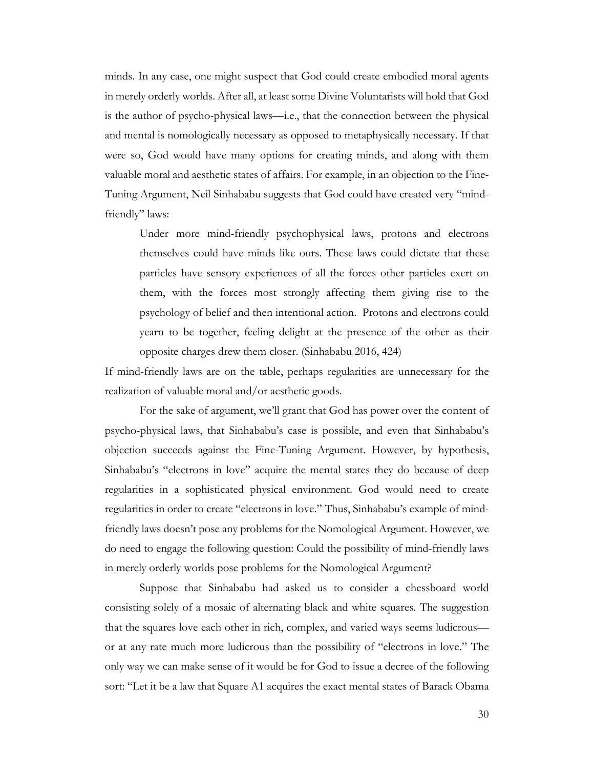minds. In any case, one might suspect that God could create embodied moral agents in merely orderly worlds. After all, at least some Divine Voluntarists will hold that God is the author of psycho-physical laws—i.e., that the connection between the physical and mental is nomologically necessary as opposed to metaphysically necessary. If that were so, God would have many options for creating minds, and along with them valuable moral and aesthetic states of affairs. For example, in an objection to the Fine-Tuning Argument, Neil Sinhababu suggests that God could have created very "mindfriendly" laws:

Under more mind-friendly psychophysical laws, protons and electrons themselves could have minds like ours. These laws could dictate that these particles have sensory experiences of all the forces other particles exert on them, with the forces most strongly affecting them giving rise to the psychology of belief and then intentional action. Protons and electrons could yearn to be together, feeling delight at the presence of the other as their opposite charges drew them closer. (Sinhababu 2016, 424)

If mind-friendly laws are on the table, perhaps regularities are unnecessary for the realization of valuable moral and/or aesthetic goods.

For the sake of argument, we'll grant that God has power over the content of psycho-physical laws, that Sinhababu's case is possible, and even that Sinhababu's objection succeeds against the Fine-Tuning Argument. However, by hypothesis, Sinhababu's "electrons in love" acquire the mental states they do because of deep regularities in a sophisticated physical environment. God would need to create regularities in order to create "electrons in love." Thus, Sinhababu's example of mindfriendly laws doesn't pose any problems for the Nomological Argument. However, we do need to engage the following question: Could the possibility of mind-friendly laws in merely orderly worlds pose problems for the Nomological Argument?

Suppose that Sinhababu had asked us to consider a chessboard world consisting solely of a mosaic of alternating black and white squares. The suggestion that the squares love each other in rich, complex, and varied ways seems ludicrous or at any rate much more ludicrous than the possibility of "electrons in love." The only way we can make sense of it would be for God to issue a decree of the following sort: "Let it be a law that Square A1 acquires the exact mental states of Barack Obama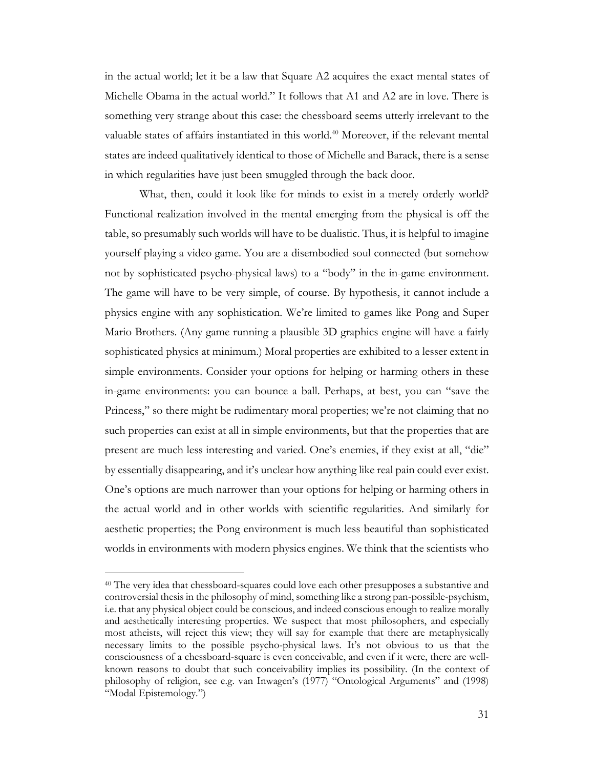in the actual world; let it be a law that Square A2 acquires the exact mental states of Michelle Obama in the actual world." It follows that A1 and A2 are in love. There is something very strange about this case: the chessboard seems utterly irrelevant to the valuable states of affairs instantiated in this world.<sup>40</sup> Moreover, if the relevant mental states are indeed qualitatively identical to those of Michelle and Barack, there is a sense in which regularities have just been smuggled through the back door.

What, then, could it look like for minds to exist in a merely orderly world? Functional realization involved in the mental emerging from the physical is off the table, so presumably such worlds will have to be dualistic. Thus, it is helpful to imagine yourself playing a video game. You are a disembodied soul connected (but somehow not by sophisticated psycho-physical laws) to a "body" in the in-game environment. The game will have to be very simple, of course. By hypothesis, it cannot include a physics engine with any sophistication. We're limited to games like Pong and Super Mario Brothers. (Any game running a plausible 3D graphics engine will have a fairly sophisticated physics at minimum.) Moral properties are exhibited to a lesser extent in simple environments. Consider your options for helping or harming others in these in-game environments: you can bounce a ball. Perhaps, at best, you can "save the Princess," so there might be rudimentary moral properties; we're not claiming that no such properties can exist at all in simple environments, but that the properties that are present are much less interesting and varied. One's enemies, if they exist at all, "die" by essentially disappearing, and it's unclear how anything like real pain could ever exist. One's options are much narrower than your options for helping or harming others in the actual world and in other worlds with scientific regularities. And similarly for aesthetic properties; the Pong environment is much less beautiful than sophisticated worlds in environments with modern physics engines. We think that the scientists who

<sup>40</sup> The very idea that chessboard-squares could love each other presupposes a substantive and controversial thesis in the philosophy of mind, something like a strong pan-possible-psychism, i.e. that any physical object could be conscious, and indeed conscious enough to realize morally and aesthetically interesting properties. We suspect that most philosophers, and especially most atheists, will reject this view; they will say for example that there are metaphysically necessary limits to the possible psycho-physical laws. It's not obvious to us that the consciousness of a chessboard-square is even conceivable, and even if it were, there are wellknown reasons to doubt that such conceivability implies its possibility. (In the context of philosophy of religion, see e.g. van Inwagen's (1977) "Ontological Arguments" and (1998) "Modal Epistemology.")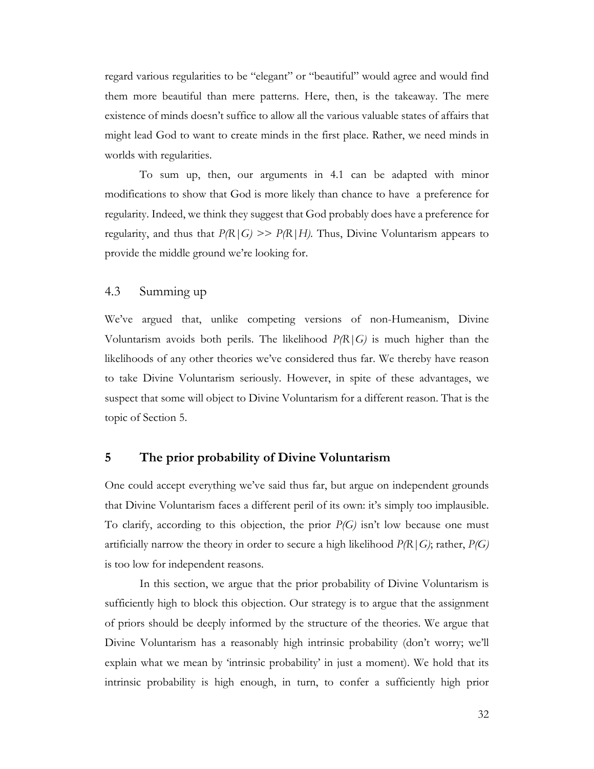regard various regularities to be "elegant" or "beautiful" would agree and would find them more beautiful than mere patterns. Here, then, is the takeaway. The mere existence of minds doesn't suffice to allow all the various valuable states of affairs that might lead God to want to create minds in the first place. Rather, we need minds in worlds with regularities.

To sum up, then, our arguments in 4.1 can be adapted with minor modifications to show that God is more likely than chance to have a preference for regularity. Indeed, we think they suggest that God probably does have a preference for regularity, and thus that  $P(R|G) \gg P(R|H)$ . Thus, Divine Voluntarism appears to provide the middle ground we're looking for.

## 4.3 Summing up

We've argued that, unlike competing versions of non-Humeanism, Divine Voluntarism avoids both perils. The likelihood *P(R|G)* is much higher than the likelihoods of any other theories we've considered thus far. We thereby have reason to take Divine Voluntarism seriously. However, in spite of these advantages, we suspect that some will object to Divine Voluntarism for a different reason. That is the topic of Section 5.

### **5 The prior probability of Divine Voluntarism**

One could accept everything we've said thus far, but argue on independent grounds that Divine Voluntarism faces a different peril of its own: it's simply too implausible. To clarify, according to this objection, the prior *P(G)* isn't low because one must artificially narrow the theory in order to secure a high likelihood *P(R|G)*; rather, *P(G)* is too low for independent reasons.

In this section, we argue that the prior probability of Divine Voluntarism is sufficiently high to block this objection. Our strategy is to argue that the assignment of priors should be deeply informed by the structure of the theories. We argue that Divine Voluntarism has a reasonably high intrinsic probability (don't worry; we'll explain what we mean by 'intrinsic probability' in just a moment). We hold that its intrinsic probability is high enough, in turn, to confer a sufficiently high prior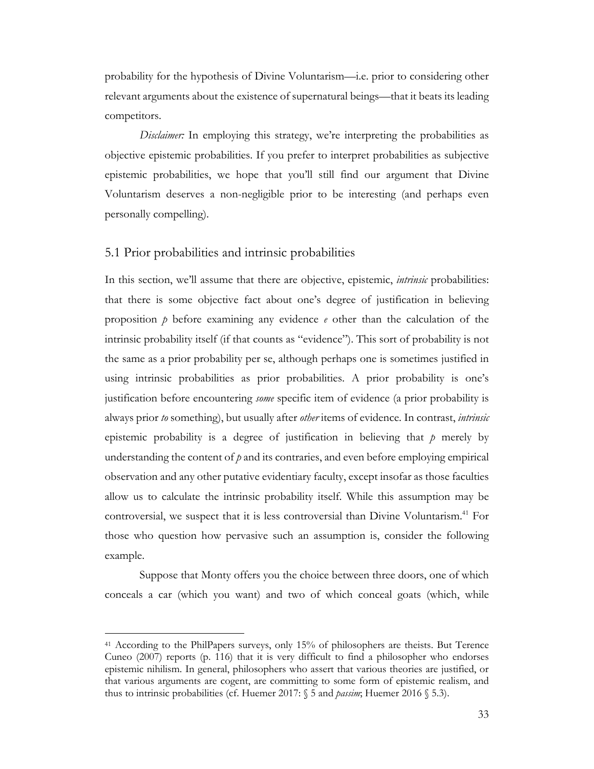probability for the hypothesis of Divine Voluntarism—i.e. prior to considering other relevant arguments about the existence of supernatural beings—that it beats its leading competitors.

*Disclaimer*: In employing this strategy, we're interpreting the probabilities as objective epistemic probabilities. If you prefer to interpret probabilities as subjective epistemic probabilities, we hope that you'll still find our argument that Divine Voluntarism deserves a non-negligible prior to be interesting (and perhaps even personally compelling).

### 5.1 Prior probabilities and intrinsic probabilities

In this section, we'll assume that there are objective, epistemic, *intrinsic* probabilities: that there is some objective fact about one's degree of justification in believing proposition  $\dot{p}$  before examining any evidence  $\dot{e}$  other than the calculation of the intrinsic probability itself (if that counts as "evidence"). This sort of probability is not the same as a prior probability per se, although perhaps one is sometimes justified in using intrinsic probabilities as prior probabilities. A prior probability is one's justification before encountering *some* specific item of evidence (a prior probability is always prior *to* something), but usually after *other* items of evidence. In contrast, *intrinsic*  epistemic probability is a degree of justification in believing that *p* merely by understanding the content of *p* and its contraries, and even before employing empirical observation and any other putative evidentiary faculty, except insofar as those faculties allow us to calculate the intrinsic probability itself. While this assumption may be controversial, we suspect that it is less controversial than Divine Voluntarism.<sup>41</sup> For those who question how pervasive such an assumption is, consider the following example.

Suppose that Monty offers you the choice between three doors, one of which conceals a car (which you want) and two of which conceal goats (which, while

<sup>41</sup> According to the PhilPapers surveys, only 15% of philosophers are theists. But Terence Cuneo (2007) reports (p. 116) that it is very difficult to find a philosopher who endorses epistemic nihilism. In general, philosophers who assert that various theories are justified, or that various arguments are cogent, are committing to some form of epistemic realism, and thus to intrinsic probabilities (cf. Huemer 2017: § 5 and *passim*; Huemer 2016 § 5.3).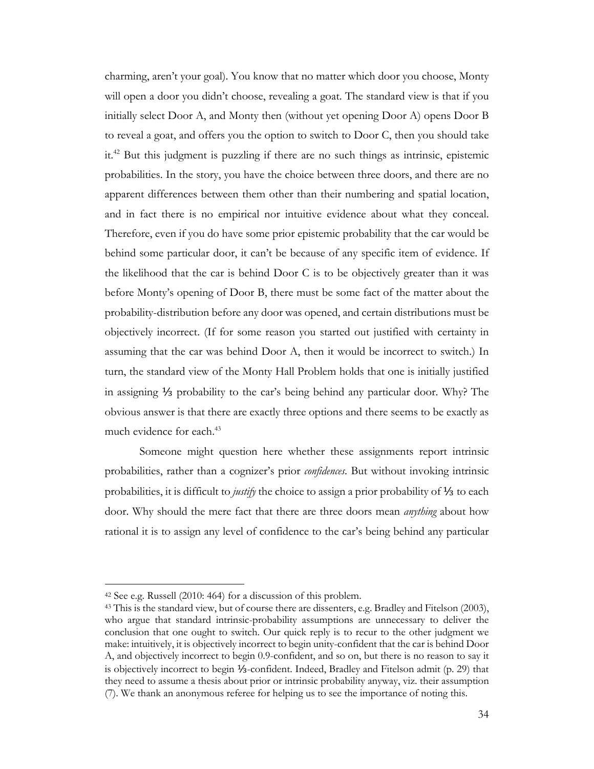charming, aren't your goal). You know that no matter which door you choose, Monty will open a door you didn't choose, revealing a goat. The standard view is that if you initially select Door A, and Monty then (without yet opening Door A) opens Door B to reveal a goat, and offers you the option to switch to Door C, then you should take it.42 But this judgment is puzzling if there are no such things as intrinsic, epistemic probabilities. In the story, you have the choice between three doors, and there are no apparent differences between them other than their numbering and spatial location, and in fact there is no empirical nor intuitive evidence about what they conceal. Therefore, even if you do have some prior epistemic probability that the car would be behind some particular door, it can't be because of any specific item of evidence. If the likelihood that the car is behind Door C is to be objectively greater than it was before Monty's opening of Door B, there must be some fact of the matter about the probability-distribution before any door was opened, and certain distributions must be objectively incorrect. (If for some reason you started out justified with certainty in assuming that the car was behind Door A, then it would be incorrect to switch.) In turn, the standard view of the Monty Hall Problem holds that one is initially justified in assigning ⅓ probability to the car's being behind any particular door. Why? The obvious answer is that there are exactly three options and there seems to be exactly as much evidence for each.<sup>43</sup>

Someone might question here whether these assignments report intrinsic probabilities, rather than a cognizer's prior *confidences*. But without invoking intrinsic probabilities, it is difficult to *justify* the choice to assign a prior probability of ⅓ to each door. Why should the mere fact that there are three doors mean *anything* about how rational it is to assign any level of confidence to the car's being behind any particular

<sup>42</sup> See e.g. Russell (2010: 464) for a discussion of this problem.

<sup>&</sup>lt;sup>43</sup> This is the standard view, but of course there are dissenters, e.g. Bradley and Fitelson (2003), who argue that standard intrinsic-probability assumptions are unnecessary to deliver the conclusion that one ought to switch. Our quick reply is to recur to the other judgment we make: intuitively, it is objectively incorrect to begin unity-confident that the car is behind Door A, and objectively incorrect to begin 0.9-confident, and so on, but there is no reason to say it is objectively incorrect to begin ⅓-confident. Indeed, Bradley and Fitelson admit (p. 29) that they need to assume a thesis about prior or intrinsic probability anyway, viz. their assumption (7). We thank an anonymous referee for helping us to see the importance of noting this.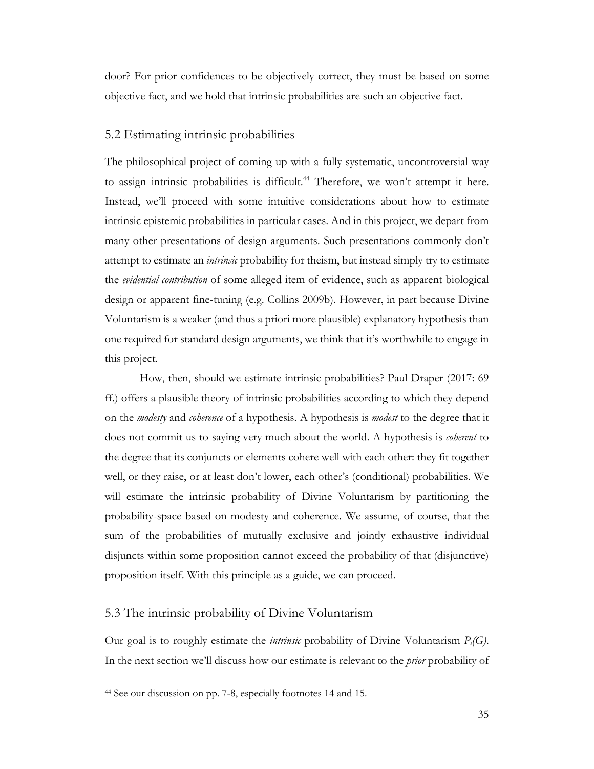door? For prior confidences to be objectively correct, they must be based on some objective fact, and we hold that intrinsic probabilities are such an objective fact.

# 5.2 Estimating intrinsic probabilities

The philosophical project of coming up with a fully systematic, uncontroversial way to assign intrinsic probabilities is difficult.<sup>44</sup> Therefore, we won't attempt it here. Instead, we'll proceed with some intuitive considerations about how to estimate intrinsic epistemic probabilities in particular cases. And in this project, we depart from many other presentations of design arguments. Such presentations commonly don't attempt to estimate an *intrinsic* probability for theism, but instead simply try to estimate the *evidential contribution* of some alleged item of evidence, such as apparent biological design or apparent fine-tuning (e.g. Collins 2009b). However, in part because Divine Voluntarism is a weaker (and thus a priori more plausible) explanatory hypothesis than one required for standard design arguments, we think that it's worthwhile to engage in this project.

How, then, should we estimate intrinsic probabilities? Paul Draper (2017: 69 ff.) offers a plausible theory of intrinsic probabilities according to which they depend on the *modesty* and *coherence* of a hypothesis. A hypothesis is *modest* to the degree that it does not commit us to saying very much about the world. A hypothesis is *coherent* to the degree that its conjuncts or elements cohere well with each other: they fit together well, or they raise, or at least don't lower, each other's (conditional) probabilities. We will estimate the intrinsic probability of Divine Voluntarism by partitioning the probability-space based on modesty and coherence. We assume, of course, that the sum of the probabilities of mutually exclusive and jointly exhaustive individual disjuncts within some proposition cannot exceed the probability of that (disjunctive) proposition itself. With this principle as a guide, we can proceed.

### 5.3 The intrinsic probability of Divine Voluntarism

Our goal is to roughly estimate the *intrinsic* probability of Divine Voluntarism *Pi(G)*. In the next section we'll discuss how our estimate is relevant to the *prior* probability of

<sup>44</sup> See our discussion on pp. 7-8, especially footnotes 14 and 15.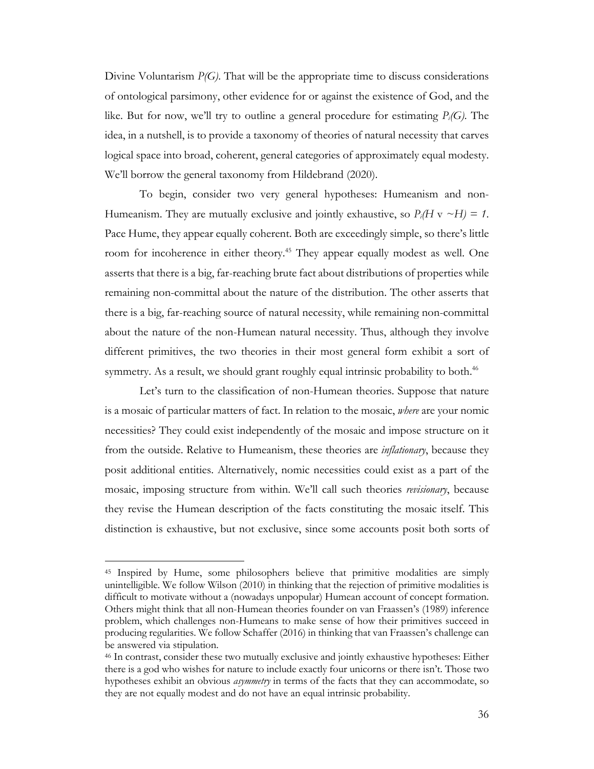Divine Voluntarism *P(G)*. That will be the appropriate time to discuss considerations of ontological parsimony, other evidence for or against the existence of God, and the like. But for now, we'll try to outline a general procedure for estimating *Pi(G)*. The idea, in a nutshell, is to provide a taxonomy of theories of natural necessity that carves logical space into broad, coherent, general categories of approximately equal modesty. We'll borrow the general taxonomy from Hildebrand (2020).

To begin, consider two very general hypotheses: Humeanism and non-Humeanism. They are mutually exclusive and jointly exhaustive, so  $P_i(H \vee \neg H) = 1$ . Pace Hume, they appear equally coherent. Both are exceedingly simple, so there's little room for incoherence in either theory.<sup>45</sup> They appear equally modest as well. One asserts that there is a big, far-reaching brute fact about distributions of properties while remaining non-committal about the nature of the distribution. The other asserts that there is a big, far-reaching source of natural necessity, while remaining non-committal about the nature of the non-Humean natural necessity. Thus, although they involve different primitives, the two theories in their most general form exhibit a sort of symmetry. As a result, we should grant roughly equal intrinsic probability to both.<sup>46</sup>

Let's turn to the classification of non-Humean theories. Suppose that nature is a mosaic of particular matters of fact. In relation to the mosaic, *where* are your nomic necessities? They could exist independently of the mosaic and impose structure on it from the outside. Relative to Humeanism, these theories are *inflationary*, because they posit additional entities. Alternatively, nomic necessities could exist as a part of the mosaic, imposing structure from within. We'll call such theories *revisionary*, because they revise the Humean description of the facts constituting the mosaic itself. This distinction is exhaustive, but not exclusive, since some accounts posit both sorts of

<sup>45</sup> Inspired by Hume, some philosophers believe that primitive modalities are simply unintelligible. We follow Wilson (2010) in thinking that the rejection of primitive modalities is difficult to motivate without a (nowadays unpopular) Humean account of concept formation. Others might think that all non-Humean theories founder on van Fraassen's (1989) inference problem, which challenges non-Humeans to make sense of how their primitives succeed in producing regularities. We follow Schaffer (2016) in thinking that van Fraassen's challenge can be answered via stipulation.

<sup>46</sup> In contrast, consider these two mutually exclusive and jointly exhaustive hypotheses: Either there is a god who wishes for nature to include exactly four unicorns or there isn't. Those two hypotheses exhibit an obvious *asymmetry* in terms of the facts that they can accommodate, so they are not equally modest and do not have an equal intrinsic probability.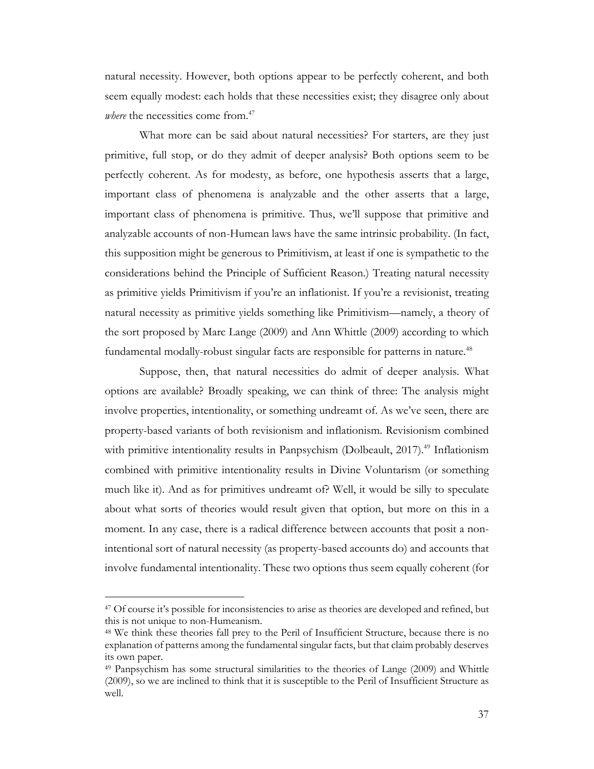natural necessity. However, both options appear to be perfectly coherent, and both seem equally modest: each holds that these necessities exist; they disagree only about *where* the necessities come from.<sup>47</sup>

What more can be said about natural necessities? For starters, are they just primitive, full stop, or do they admit of deeper analysis? Both options seem to be perfectly coherent. As for modesty, as before, one hypothesis asserts that a large, important class of phenomena is analyzable and the other asserts that a large, important class of phenomena is primitive. Thus, we'll suppose that primitive and analyzable accounts of non-Humean laws have the same intrinsic probability. (In fact, this supposition might be generous to Primitivism, at least if one is sympathetic to the considerations behind the Principle of Sufficient Reason.) Treating natural necessity as primitive yields Primitivism if you're an inflationist. If you're a revisionist, treating natural necessity as primitive yields something like Primitivism—namely, a theory of the sort proposed by Marc Lange (2009) and Ann Whittle (2009) according to which fundamental modally-robust singular facts are responsible for patterns in nature.<sup>48</sup>

Suppose, then, that natural necessities do admit of deeper analysis. What options are available? Broadly speaking, we can think of three: The analysis might involve properties, intentionality, or something undreamt of. As we've seen, there are property-based variants of both revisionism and inflationism. Revisionism combined with primitive intentionality results in Panpsychism (Dolbeault,  $2017$ ).<sup>49</sup> Inflationism combined with primitive intentionality results in Divine Voluntarism (or something much like it). And as for primitives undreamt of? Well, it would be silly to speculate about what sorts of theories would result given that option, but more on this in a moment. In any case, there is a radical difference between accounts that posit a nonintentional sort of natural necessity (as property-based accounts do) and accounts that involve fundamental intentionality. These two options thus seem equally coherent (for

<sup>&</sup>lt;sup>47</sup> Of course it's possible for inconsistencies to arise as theories are developed and refined, but this is not unique to non-Humeanism.

<sup>48</sup> We think these theories fall prey to the Peril of Insufficient Structure, because there is no explanation of patterns among the fundamental singular facts, but that claim probably deserves its own paper.

<sup>49</sup> Panpsychism has some structural similarities to the theories of Lange (2009) and Whittle (2009), so we are inclined to think that it is susceptible to the Peril of Insufficient Structure as well.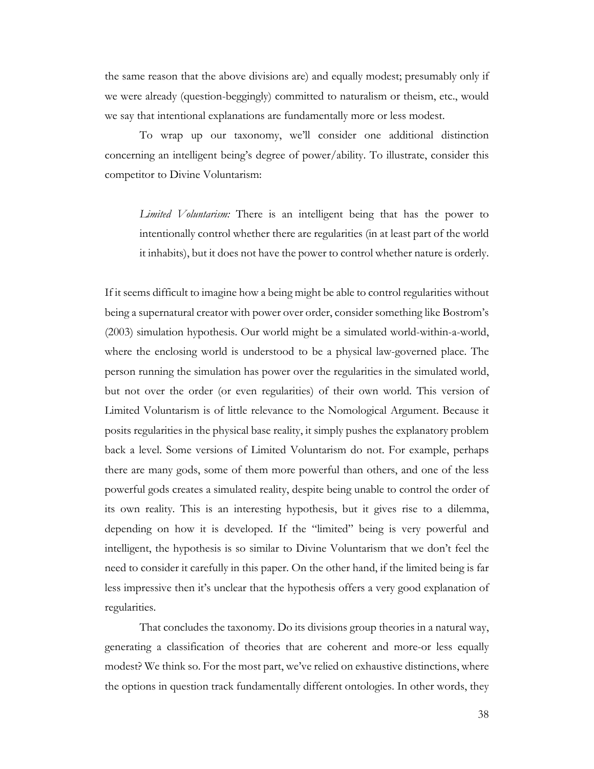the same reason that the above divisions are) and equally modest; presumably only if we were already (question-beggingly) committed to naturalism or theism, etc., would we say that intentional explanations are fundamentally more or less modest.

To wrap up our taxonomy, we'll consider one additional distinction concerning an intelligent being's degree of power/ability. To illustrate, consider this competitor to Divine Voluntarism:

*Limited Voluntarism:* There is an intelligent being that has the power to intentionally control whether there are regularities (in at least part of the world it inhabits), but it does not have the power to control whether nature is orderly.

If it seems difficult to imagine how a being might be able to control regularities without being a supernatural creator with power over order, consider something like Bostrom's (2003) simulation hypothesis. Our world might be a simulated world-within-a-world, where the enclosing world is understood to be a physical law-governed place. The person running the simulation has power over the regularities in the simulated world, but not over the order (or even regularities) of their own world. This version of Limited Voluntarism is of little relevance to the Nomological Argument. Because it posits regularities in the physical base reality, it simply pushes the explanatory problem back a level. Some versions of Limited Voluntarism do not. For example, perhaps there are many gods, some of them more powerful than others, and one of the less powerful gods creates a simulated reality, despite being unable to control the order of its own reality. This is an interesting hypothesis, but it gives rise to a dilemma, depending on how it is developed. If the "limited" being is very powerful and intelligent, the hypothesis is so similar to Divine Voluntarism that we don't feel the need to consider it carefully in this paper. On the other hand, if the limited being is far less impressive then it's unclear that the hypothesis offers a very good explanation of regularities.

That concludes the taxonomy. Do its divisions group theories in a natural way, generating a classification of theories that are coherent and more-or less equally modest? We think so. For the most part, we've relied on exhaustive distinctions, where the options in question track fundamentally different ontologies. In other words, they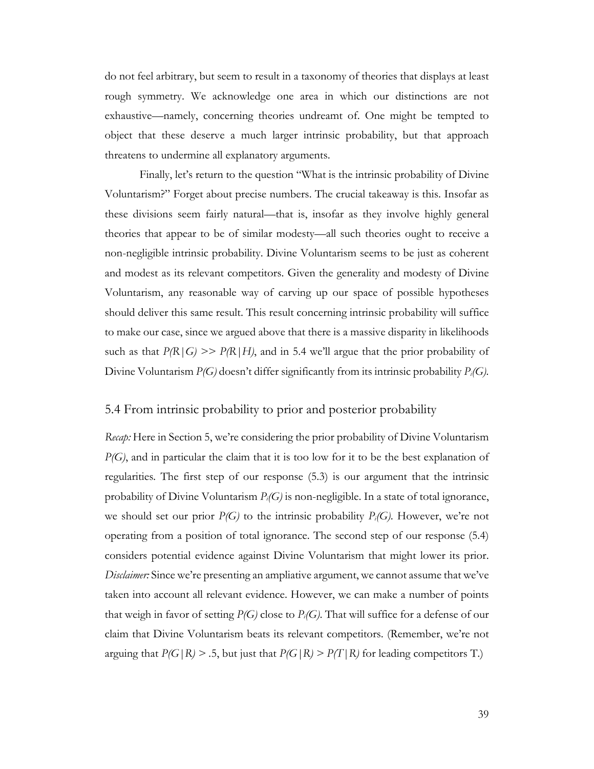do not feel arbitrary, but seem to result in a taxonomy of theories that displays at least rough symmetry. We acknowledge one area in which our distinctions are not exhaustive—namely, concerning theories undreamt of. One might be tempted to object that these deserve a much larger intrinsic probability, but that approach threatens to undermine all explanatory arguments.

Finally, let's return to the question "What is the intrinsic probability of Divine Voluntarism?" Forget about precise numbers. The crucial takeaway is this. Insofar as these divisions seem fairly natural—that is, insofar as they involve highly general theories that appear to be of similar modesty—all such theories ought to receive a non-negligible intrinsic probability. Divine Voluntarism seems to be just as coherent and modest as its relevant competitors. Given the generality and modesty of Divine Voluntarism, any reasonable way of carving up our space of possible hypotheses should deliver this same result. This result concerning intrinsic probability will suffice to make our case, since we argued above that there is a massive disparity in likelihoods such as that  $P(R|G) \gg P(R|H)$ , and in 5.4 we'll argue that the prior probability of Divine Voluntarism *P(G)* doesn't differ significantly from its intrinsic probability *Pi(G).*

### 5.4 From intrinsic probability to prior and posterior probability

*Recap:* Here in Section 5, we're considering the prior probability of Divine Voluntarism *P(G)*, and in particular the claim that it is too low for it to be the best explanation of regularities*.* The first step of our response (5.3) is our argument that the intrinsic probability of Divine Voluntarism *Pi(G)* is non-negligible. In a state of total ignorance, we should set our prior  $P(G)$  to the intrinsic probability  $P_i(G)$ . However, we're not operating from a position of total ignorance. The second step of our response (5.4) considers potential evidence against Divine Voluntarism that might lower its prior. *Disclaimer:* Since we're presenting an ampliative argument, we cannot assume that we've taken into account all relevant evidence. However, we can make a number of points that weigh in favor of setting *P(G)* close to *Pi(G)*. That will suffice for a defense of our claim that Divine Voluntarism beats its relevant competitors. (Remember, we're not arguing that  $P(G|R) > .5$ , but just that  $P(G|R) > P(T|R)$  for leading competitors T.)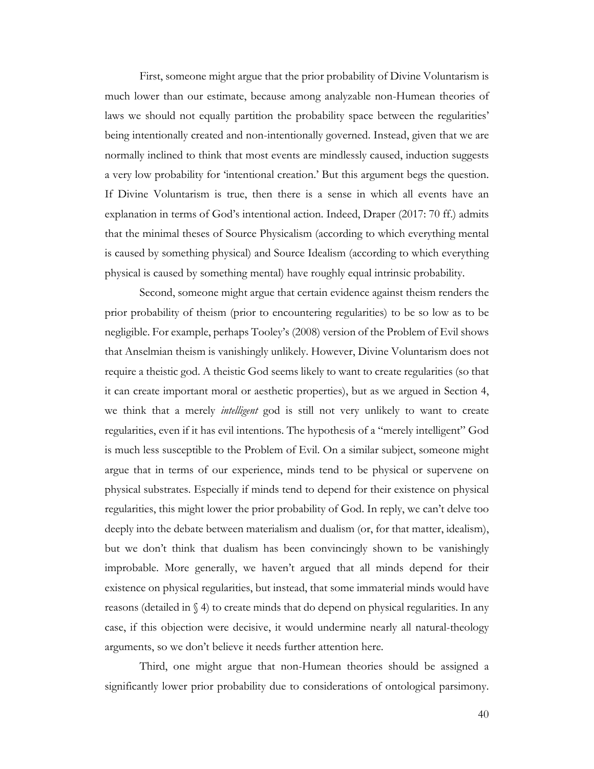First, someone might argue that the prior probability of Divine Voluntarism is much lower than our estimate, because among analyzable non-Humean theories of laws we should not equally partition the probability space between the regularities' being intentionally created and non-intentionally governed. Instead, given that we are normally inclined to think that most events are mindlessly caused, induction suggests a very low probability for 'intentional creation.' But this argument begs the question. If Divine Voluntarism is true, then there is a sense in which all events have an explanation in terms of God's intentional action. Indeed, Draper (2017: 70 ff.) admits that the minimal theses of Source Physicalism (according to which everything mental is caused by something physical) and Source Idealism (according to which everything physical is caused by something mental) have roughly equal intrinsic probability.

Second, someone might argue that certain evidence against theism renders the prior probability of theism (prior to encountering regularities) to be so low as to be negligible. For example, perhaps Tooley's (2008) version of the Problem of Evil shows that Anselmian theism is vanishingly unlikely. However, Divine Voluntarism does not require a theistic god. A theistic God seems likely to want to create regularities (so that it can create important moral or aesthetic properties), but as we argued in Section 4, we think that a merely *intelligent* god is still not very unlikely to want to create regularities, even if it has evil intentions. The hypothesis of a "merely intelligent" God is much less susceptible to the Problem of Evil. On a similar subject, someone might argue that in terms of our experience, minds tend to be physical or supervene on physical substrates. Especially if minds tend to depend for their existence on physical regularities, this might lower the prior probability of God. In reply, we can't delve too deeply into the debate between materialism and dualism (or, for that matter, idealism), but we don't think that dualism has been convincingly shown to be vanishingly improbable. More generally, we haven't argued that all minds depend for their existence on physical regularities, but instead, that some immaterial minds would have reasons (detailed in § 4) to create minds that do depend on physical regularities. In any case, if this objection were decisive, it would undermine nearly all natural-theology arguments, so we don't believe it needs further attention here.

Third, one might argue that non-Humean theories should be assigned a significantly lower prior probability due to considerations of ontological parsimony.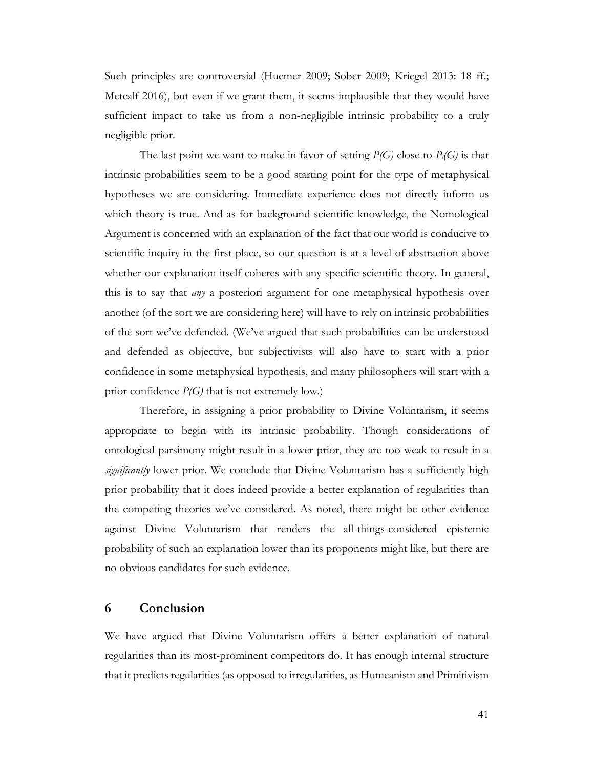Such principles are controversial (Huemer 2009; Sober 2009; Kriegel 2013: 18 ff.; Metcalf 2016), but even if we grant them, it seems implausible that they would have sufficient impact to take us from a non-negligible intrinsic probability to a truly negligible prior.

The last point we want to make in favor of setting *P(G)* close to *Pi(G)* is that intrinsic probabilities seem to be a good starting point for the type of metaphysical hypotheses we are considering. Immediate experience does not directly inform us which theory is true. And as for background scientific knowledge, the Nomological Argument is concerned with an explanation of the fact that our world is conducive to scientific inquiry in the first place, so our question is at a level of abstraction above whether our explanation itself coheres with any specific scientific theory. In general, this is to say that *any* a posteriori argument for one metaphysical hypothesis over another (of the sort we are considering here) will have to rely on intrinsic probabilities of the sort we've defended. (We've argued that such probabilities can be understood and defended as objective, but subjectivists will also have to start with a prior confidence in some metaphysical hypothesis, and many philosophers will start with a prior confidence *P(G)* that is not extremely low.)

Therefore, in assigning a prior probability to Divine Voluntarism, it seems appropriate to begin with its intrinsic probability. Though considerations of ontological parsimony might result in a lower prior, they are too weak to result in a *significantly* lower prior. We conclude that Divine Voluntarism has a sufficiently high prior probability that it does indeed provide a better explanation of regularities than the competing theories we've considered. As noted, there might be other evidence against Divine Voluntarism that renders the all-things-considered epistemic probability of such an explanation lower than its proponents might like, but there are no obvious candidates for such evidence.

# **6 Conclusion**

We have argued that Divine Voluntarism offers a better explanation of natural regularities than its most-prominent competitors do. It has enough internal structure that it predicts regularities (as opposed to irregularities, as Humeanism and Primitivism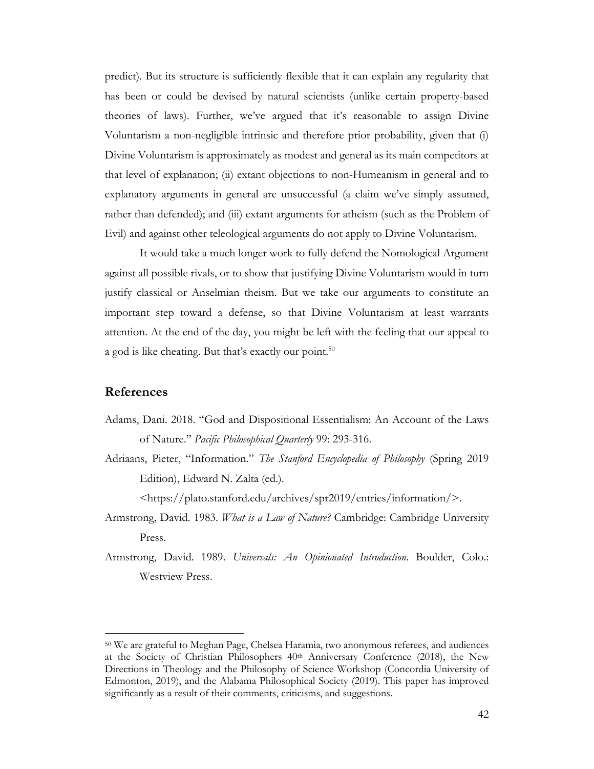predict). But its structure is sufficiently flexible that it can explain any regularity that has been or could be devised by natural scientists (unlike certain property-based theories of laws). Further, we've argued that it's reasonable to assign Divine Voluntarism a non-negligible intrinsic and therefore prior probability, given that (i) Divine Voluntarism is approximately as modest and general as its main competitors at that level of explanation; (ii) extant objections to non-Humeanism in general and to explanatory arguments in general are unsuccessful (a claim we've simply assumed, rather than defended); and (iii) extant arguments for atheism (such as the Problem of Evil) and against other teleological arguments do not apply to Divine Voluntarism.

It would take a much longer work to fully defend the Nomological Argument against all possible rivals, or to show that justifying Divine Voluntarism would in turn justify classical or Anselmian theism. But we take our arguments to constitute an important step toward a defense, so that Divine Voluntarism at least warrants attention. At the end of the day, you might be left with the feeling that our appeal to a god is like cheating. But that's exactly our point.<sup>50</sup>

# **References**

- Adams, Dani. 2018. "God and Dispositional Essentialism: An Account of the Laws of Nature." *Pacific Philosophical Quarterly* 99: 293-316.
- Adriaans, Pieter, "Information." *The Stanford Encyclopedia of Philosophy* (Spring 2019 Edition), Edward N. Zalta (ed.).

<https://plato.stanford.edu/archives/spr2019/entries/information/>.

- Armstrong, David. 1983. *What is a Law of Nature?* Cambridge: Cambridge University Press.
- Armstrong, David. 1989. *Universals: An Opinionated Introduction*. Boulder, Colo.: Westview Press.

<sup>50</sup> We are grateful to Meghan Page, Chelsea Haramia, two anonymous referees, and audiences at the Society of Christian Philosophers 40th Anniversary Conference (2018), the New Directions in Theology and the Philosophy of Science Workshop (Concordia University of Edmonton, 2019), and the Alabama Philosophical Society (2019). This paper has improved significantly as a result of their comments, criticisms, and suggestions.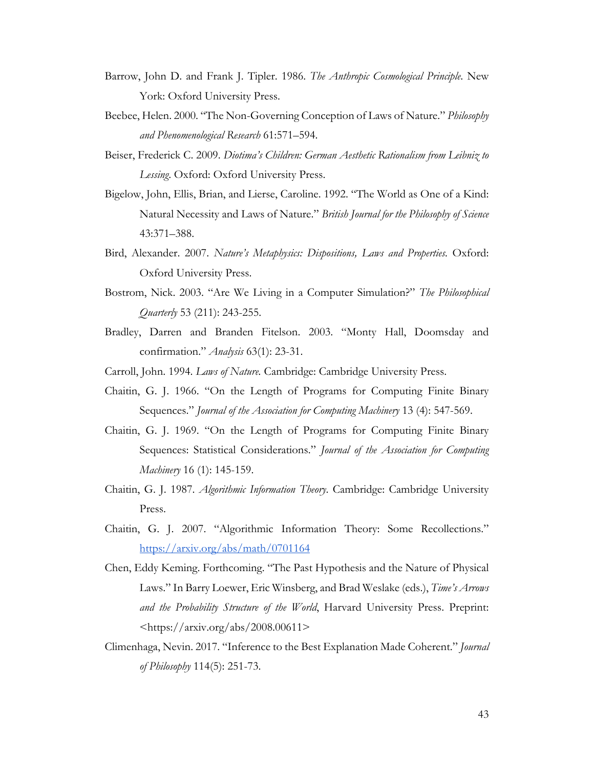- Barrow, John D. and Frank J. Tipler. 1986. *The Anthropic Cosmological Principle*. New York: Oxford University Press.
- Beebee, Helen. 2000. "The Non-Governing Conception of Laws of Nature." *Philosophy and Phenomenological Research* 61:571–594.
- Beiser, Frederick C. 2009. *Diotima's Children: German Aesthetic Rationalism from Leibniz to Lessing*. Oxford: Oxford University Press.
- Bigelow, John, Ellis, Brian, and Lierse, Caroline. 1992. "The World as One of a Kind: Natural Necessity and Laws of Nature." *British Journal for the Philosophy of Science* 43:371–388.
- Bird, Alexander. 2007. *Nature's Metaphysics: Dispositions, Laws and Properties.* Oxford: Oxford University Press.
- Bostrom, Nick. 2003. "Are We Living in a Computer Simulation?" *The Philosophical Quarterly* 53 (211): 243-255.
- Bradley, Darren and Branden Fitelson. 2003. "Monty Hall, Doomsday and confirmation." *Analysis* 63(1): 23-31.
- Carroll, John. 1994. *Laws of Nature.* Cambridge: Cambridge University Press.
- Chaitin, G. J. 1966. "On the Length of Programs for Computing Finite Binary Sequences." *Journal of the Association for Computing Machinery* 13 (4): 547-569.
- Chaitin, G. J. 1969. "On the Length of Programs for Computing Finite Binary Sequences: Statistical Considerations." *Journal of the Association for Computing Machinery* 16 (1): 145-159.
- Chaitin, G. J. 1987. *Algorithmic Information Theory*. Cambridge: Cambridge University Press.
- Chaitin, G. J. 2007. "Algorithmic Information Theory: Some Recollections." https://arxiv.org/abs/math/0701164
- Chen, Eddy Keming. Forthcoming. "The Past Hypothesis and the Nature of Physical Laws." In Barry Loewer, Eric Winsberg, and Brad Weslake (eds.), *Time's Arrows and the Probability Structure of the World*, Harvard University Press. Preprint: <https://arxiv.org/abs/2008.00611>
- Climenhaga, Nevin. 2017. "Inference to the Best Explanation Made Coherent." *Journal of Philosophy* 114(5): 251-73.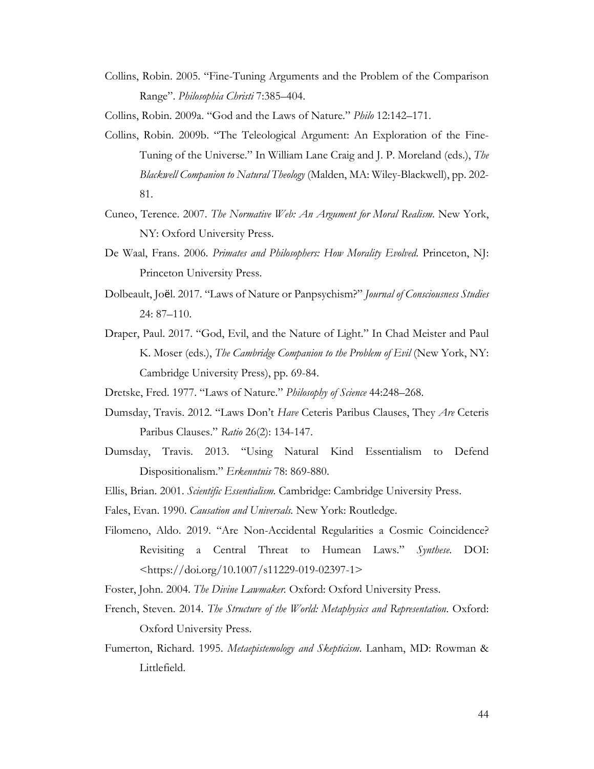Collins, Robin. 2005. "Fine-Tuning Arguments and the Problem of the Comparison Range". *Philosophia Christi* 7:385–404.

Collins, Robin. 2009a. "God and the Laws of Nature." *Philo* 12:142–171.

- Collins, Robin. 2009b. "The Teleological Argument: An Exploration of the Fine-Tuning of the Universe." In William Lane Craig and J. P. Moreland (eds.), *The Blackwell Companion to Natural Theology* (Malden, MA: Wiley-Blackwell), pp. 202- 81.
- Cuneo, Terence. 2007. *The Normative Web: An Argument for Moral Realism*. New York, NY: Oxford University Press.
- De Waal, Frans. 2006. *Primates and Philosophers: How Morality Evolved*. Princeton, NJ: Princeton University Press.
- Dolbeault, Joël. 2017. "Laws of Nature or Panpsychism?" *Journal of Consciousness Studies* 24: 87–110.
- Draper, Paul. 2017. "God, Evil, and the Nature of Light." In Chad Meister and Paul K. Moser (eds.), *The Cambridge Companion to the Problem of Evil* (New York, NY: Cambridge University Press), pp. 69-84.
- Dretske, Fred. 1977. "Laws of Nature." *Philosophy of Science* 44:248–268.
- Dumsday, Travis. 2012. "Laws Don't *Have* Ceteris Paribus Clauses, They *Are* Ceteris Paribus Clauses." *Ratio* 26(2): 134-147.
- Dumsday, Travis. 2013. "Using Natural Kind Essentialism to Defend Dispositionalism." *Erkenntnis* 78: 869-880.
- Ellis, Brian. 2001. *Scientific Essentialism.* Cambridge: Cambridge University Press.
- Fales, Evan. 1990. *Causation and Universals.* New York: Routledge.
- Filomeno, Aldo. 2019. "Are Non-Accidental Regularities a Cosmic Coincidence? Revisiting a Central Threat to Humean Laws." *Synthese*. DOI: <https://doi.org/10.1007/s11229-019-02397-1>
- Foster, John. 2004. *The Divine Lawmaker.* Oxford: Oxford University Press.
- French, Steven. 2014. *The Structure of the World: Metaphysics and Representation*. Oxford: Oxford University Press.
- Fumerton, Richard. 1995. *Metaepistemology and Skepticism*. Lanham, MD: Rowman & Littlefield.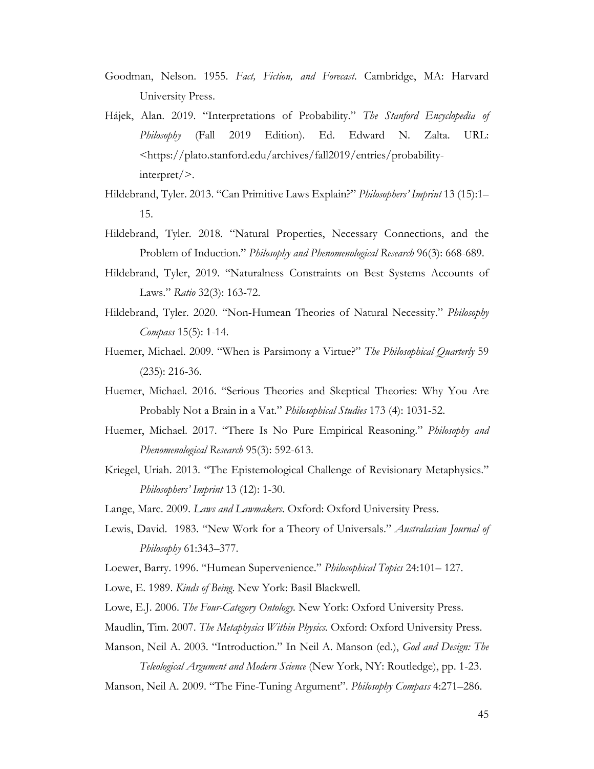- Goodman, Nelson. 1955. *Fact, Fiction, and Forecast*. Cambridge, MA: Harvard University Press.
- Hájek, Alan. 2019. "Interpretations of Probability." *The Stanford Encyclopedia of Philosophy* (Fall 2019 Edition). Ed. Edward N. Zalta. URL: <https://plato.stanford.edu/archives/fall2019/entries/probabilityinterpret/>.
- Hildebrand, Tyler. 2013. "Can Primitive Laws Explain?" *Philosophers' Imprint* 13 (15):1– 15.
- Hildebrand, Tyler. 2018. "Natural Properties, Necessary Connections, and the Problem of Induction." *Philosophy and Phenomenological Research* 96(3): 668-689.
- Hildebrand, Tyler, 2019. "Naturalness Constraints on Best Systems Accounts of Laws." *Ratio* 32(3): 163-72.
- Hildebrand, Tyler. 2020. "Non-Humean Theories of Natural Necessity." *Philosophy Compass* 15(5): 1-14.
- Huemer, Michael. 2009. "When is Parsimony a Virtue?" *The Philosophical Quarterly* 59 (235): 216-36.
- Huemer, Michael. 2016. "Serious Theories and Skeptical Theories: Why You Are Probably Not a Brain in a Vat." *Philosophical Studies* 173 (4): 1031-52.
- Huemer, Michael. 2017. "There Is No Pure Empirical Reasoning." *Philosophy and Phenomenological Research* 95(3): 592-613.
- Kriegel, Uriah. 2013. "The Epistemological Challenge of Revisionary Metaphysics." *Philosophers' Imprint* 13 (12): 1-30.
- Lange, Marc. 2009. *Laws and Lawmakers*. Oxford: Oxford University Press.
- Lewis, David. 1983. "New Work for a Theory of Universals." *Australasian Journal of Philosophy* 61:343–377.
- Loewer, Barry. 1996. "Humean Supervenience." *Philosophical Topics* 24:101– 127.
- Lowe, E. 1989. *Kinds of Being*. New York: Basil Blackwell.
- Lowe, E.J. 2006. *The Four-Category Ontology.* New York: Oxford University Press.
- Maudlin, Tim. 2007. *The Metaphysics Within Physics.* Oxford: Oxford University Press.
- Manson, Neil A. 2003. "Introduction." In Neil A. Manson (ed.), *God and Design: The Teleological Argument and Modern Science* (New York, NY: Routledge), pp. 1-23.
- Manson, Neil A. 2009. "The Fine-Tuning Argument". *Philosophy Compass* 4:271–286.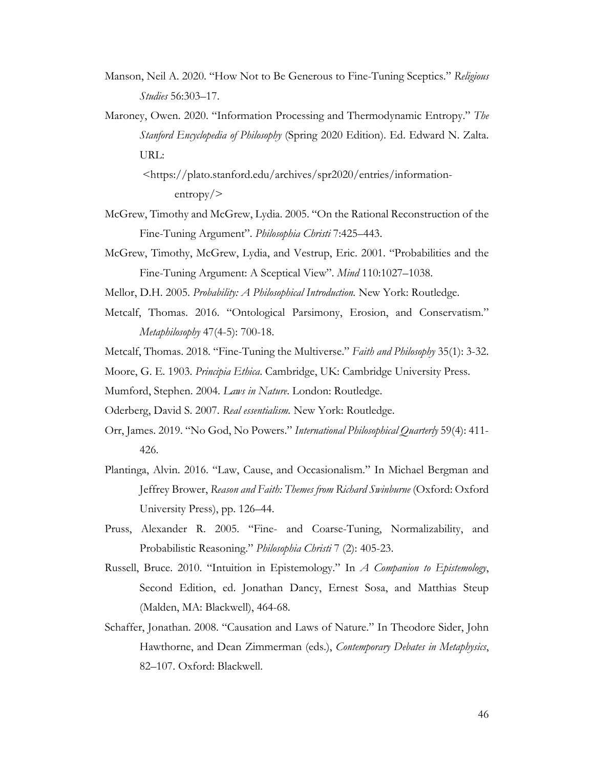- Manson, Neil A. 2020. "How Not to Be Generous to Fine-Tuning Sceptics." *Religious Studies* 56:303–17.
- Maroney, Owen. 2020. "Information Processing and Thermodynamic Entropy." *The Stanford Encyclopedia of Philosophy* (Spring 2020 Edition). Ed. Edward N. Zalta. URL:
	- <https://plato.stanford.edu/archives/spr2020/entries/informationentropy/>
- McGrew, Timothy and McGrew, Lydia. 2005. "On the Rational Reconstruction of the Fine-Tuning Argument". *Philosophia Christi* 7:425–443.
- McGrew, Timothy, McGrew, Lydia, and Vestrup, Eric. 2001. "Probabilities and the Fine-Tuning Argument: A Sceptical View". *Mind* 110:1027–1038.
- Mellor, D.H. 2005. *Probability: A Philosophical Introduction.* New York: Routledge.
- Metcalf, Thomas. 2016. "Ontological Parsimony, Erosion, and Conservatism." *Metaphilosophy* 47(4-5): 700-18.
- Metcalf, Thomas. 2018. "Fine-Tuning the Multiverse." *Faith and Philosophy* 35(1): 3-32.
- Moore, G. E. 1903. *Principia Ethica*. Cambridge, UK: Cambridge University Press.
- Mumford, Stephen. 2004. *Laws in Nature*. London: Routledge.
- Oderberg, David S. 2007. *Real essentialism.* New York: Routledge.
- Orr, James. 2019. "No God, No Powers." *International Philosophical Quarterly* 59(4): 411- 426.
- Plantinga, Alvin. 2016. "Law, Cause, and Occasionalism." In Michael Bergman and Jeffrey Brower, *Reason and Faith: Themes from Richard Swinburne* (Oxford: Oxford University Press), pp. 126–44.
- Pruss, Alexander R. 2005. "Fine- and Coarse-Tuning, Normalizability, and Probabilistic Reasoning." *Philosophia Christi* 7 (2): 405-23.
- Russell, Bruce. 2010. "Intuition in Epistemology." In *A Companion to Epistemology*, Second Edition, ed. Jonathan Dancy, Ernest Sosa, and Matthias Steup (Malden, MA: Blackwell), 464-68.
- Schaffer, Jonathan. 2008. "Causation and Laws of Nature." In Theodore Sider, John Hawthorne, and Dean Zimmerman (eds.), *Contemporary Debates in Metaphysics*, 82–107. Oxford: Blackwell.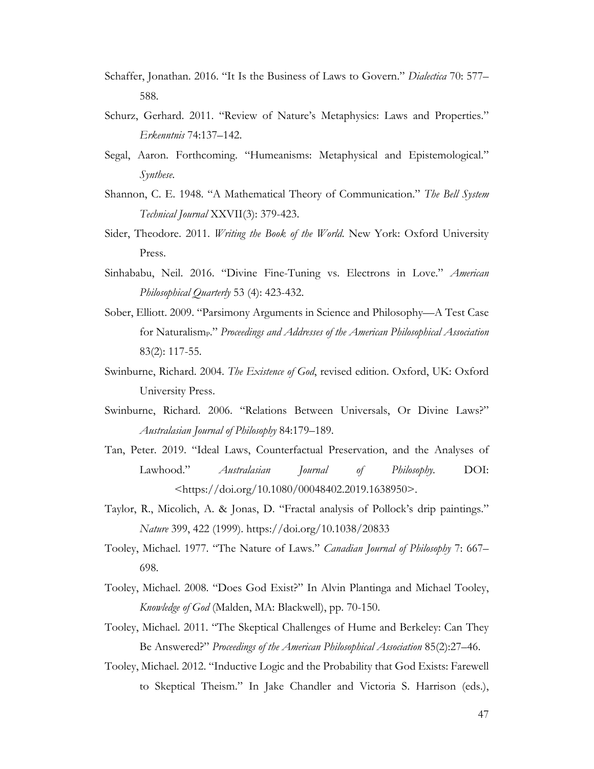- Schaffer, Jonathan. 2016. "It Is the Business of Laws to Govern." *Dialectica* 70: 577– 588.
- Schurz, Gerhard. 2011. "Review of Nature's Metaphysics: Laws and Properties." *Erkenntnis* 74:137–142.
- Segal, Aaron. Forthcoming. "Humeanisms: Metaphysical and Epistemological." *Synthese*.
- Shannon, C. E. 1948. "A Mathematical Theory of Communication." *The Bell System Technical Journal* XXVII(3): 379-423.
- Sider, Theodore. 2011. *Writing the Book of the World*. New York: Oxford University Press.
- Sinhababu, Neil. 2016. "Divine Fine-Tuning vs. Electrons in Love." *American Philosophical Quarterly* 53 (4): 423-432.
- Sober, Elliott. 2009. "Parsimony Arguments in Science and Philosophy—A Test Case for Naturalism<sub>P</sub>." *Proceedings and Addresses of the American Philosophical Association* 83(2): 117-55.
- Swinburne, Richard. 2004. *The Existence of God*, revised edition. Oxford, UK: Oxford University Press.
- Swinburne, Richard. 2006. "Relations Between Universals, Or Divine Laws?" *Australasian Journal of Philosophy* 84:179–189.
- Tan, Peter. 2019. "Ideal Laws, Counterfactual Preservation, and the Analyses of Lawhood." *Australasian Journal of Philosophy.* DOI: <https://doi.org/10.1080/00048402.2019.1638950>.
- Taylor, R., Micolich, A. & Jonas, D. "Fractal analysis of Pollock's drip paintings." *Nature* 399, 422 (1999). https://doi.org/10.1038/20833
- Tooley, Michael. 1977. "The Nature of Laws." *Canadian Journal of Philosophy* 7: 667– 698.
- Tooley, Michael. 2008. "Does God Exist?" In Alvin Plantinga and Michael Tooley, *Knowledge of God* (Malden, MA: Blackwell), pp. 70-150.
- Tooley, Michael. 2011. "The Skeptical Challenges of Hume and Berkeley: Can They Be Answered?" *Proceedings of the American Philosophical Association* 85(2):27–46.
- Tooley, Michael. 2012. "Inductive Logic and the Probability that God Exists: Farewell to Skeptical Theism." In Jake Chandler and Victoria S. Harrison (eds.),